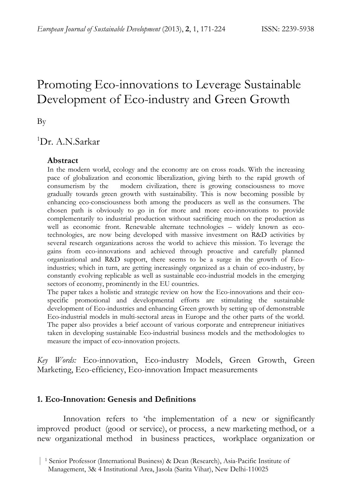# Promoting Eco-innovations to Leverage Sustainable Development of Eco-industry and Green Growth

By

# 1 Dr. A.N.Sarkar

#### **Abstract**

In the modern world, ecology and the economy are on cross roads. With the increasing pace of globalization and economic liberalization, giving birth to the rapid growth of consumerism by the modern civilization, there is growing consciousness to move gradually towards green growth with sustainability. This is now becoming possible by enhancing eco-consciousness both among the producers as well as the consumers. The chosen path is obviously to go in for more and more eco-innovations to provide complementarily to industrial production without sacrificing much on the production as well as economic front. Renewable alternate technologies – widely known as ecotechnologies, are now being developed with massive investment on R&D activities by several research organizations across the world to achieve this mission. To leverage the gains from eco-innovations and achieved through proactive and carefully planned organizational and R&D support, there seems to be a surge in the growth of Ecoindustries; which in turn, are getting increasingly organized as a chain of eco-industry, by constantly evolving replicable as well as sustainable eco-industrial models in the emerging sectors of economy, prominently in the EU countries.

The paper takes a holistic and strategic review on how the Eco-innovations and their ecospecific promotional and developmental efforts are stimulating the sustainable development of Eco-industries and enhancing Green growth by setting up of demonstrable Eco-industrial models in multi-sectoral areas in Europe and the other parts of the world. The paper also provides a brief account of various corporate and entrepreneur initiatives taken in developing sustainable Eco-industrial business models and the methodologies to measure the impact of eco-innovation projects.

*Key Words:* Eco-innovation, Eco-industry Models, Green Growth, Green Marketing, Eco-efficiency, Eco-innovation Impact measurements

#### **1. Eco-Innovation: Genesis and Definitions**

Innovation refers to 'the implementation of a new or significantly improved product (good or service), or process, a new marketing method, or a new organizational method in business practices, workplace organization or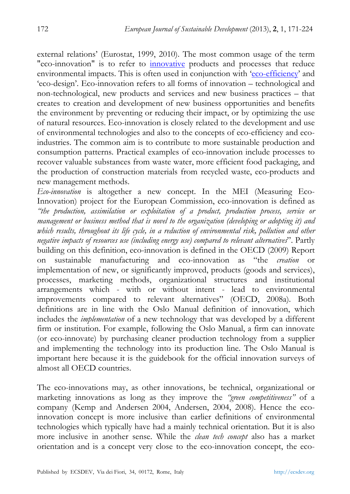external relations' (Eurostat, 1999, 2010). The most common usage of the term "eco-innovation" is to refer to innovative products and processes that reduce environmental impacts. This is often used in conjunction with 'eco-efficiency' and 'eco-design'. Eco-innovation refers to all forms of innovation – technological and non-technological, new products and services and new business practices – that creates to creation and development of new business opportunities and benefits the environment by preventing or reducing their impact, or by optimizing the use of natural resources. Eco-innovation is closely related to the development and use of environmental technologies and also to the concepts of eco-efficiency and ecoindustries. The common aim is to contribute to more sustainable production and consumption patterns. Practical examples of eco-innovation include processes to recover valuable substances from waste water, more efficient food packaging, and the production of construction materials from recycled waste, eco-products and new management methods.

*Eco-innovation* is altogether a new concept. In the MEI (Measuring Eco-Innovation) project for the European Commission, eco-innovation is defined as *"the production, assimilation or exploitation of a product, production process, service or management or business method that is novel to the organization (developing or adopting it) and*  which results, throughout its life cycle, in a reduction of environmental risk, pollution and other *negative impacts of resources use (including energy use) compared to relevant alternatives*". Partly building on this definition, eco-innovation is defined in the OECD (2009) Report on sustainable manufacturing and eco-innovation as "the *creation* or implementation of new, or significantly improved, products (goods and services), processes, marketing methods, organizational structures and institutional arrangements which - with or without intent - lead to environmental improvements compared to relevant alternatives" (OECD, 2008a). Both definitions are in line with the Oslo Manual definition of innovation, which includes the *implementation* of a new technology that was developed by a different firm or institution. For example, following the Oslo Manual, a firm can innovate (or eco-innovate) by purchasing cleaner production technology from a supplier and implementing the technology into its production line. The Oslo Manual is important here because it is the guidebook for the official innovation surveys of almost all OECD countries.

The eco-innovations may, as other innovations, be technical, organizational or marketing innovations as long as they improve the *"green competitiveness"* of a company (Kemp and Andersen 2004, Andersen, 2004, 2008). Hence the ecoinnovation concept is more inclusive than earlier definitions of environmental technologies which typically have had a mainly technical orientation. But it is also more inclusive in another sense. While the *clean tech concept* also has a market orientation and is a concept very close to the eco-innovation concept, the eco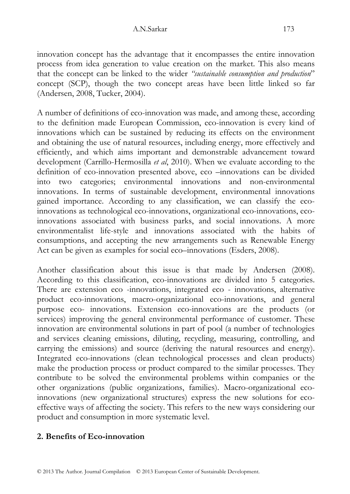innovation concept has the advantage that it encompasses the entire innovation process from idea generation to value creation on the market. This also means that the concept can be linked to the wider *"sustainable consumption and production*" concept (SCP), though the two concept areas have been little linked so far (Andersen, 2008, Tucker, 2004).

A number of definitions of eco-innovation was made, and among these, according to the definition made European Commission, eco-innovation is every kind of innovations which can be sustained by reducing its effects on the environment and obtaining the use of natural resources, including energy, more effectively and efficiently, and which aims important and demonstrable advancement toward development (Carrillo-Hermosilla *et al*, 2010). When we evaluate according to the definition of eco-innovation presented above, eco –innovations can be divided into two categories; environmental innovations and non-environmental innovations. In terms of sustainable development, environmental innovations gained importance. According to any classification, we can classify the ecoinnovations as technological eco-innovations, organizational eco-innovations, ecoinnovations associated with business parks, and social innovations. A more environmentalist life-style and innovations associated with the habits of consumptions, and accepting the new arrangements such as Renewable Energy Act can be given as examples for social eco–innovations (Esders, 2008).

Another classification about this issue is that made by Andersen (2008). According to this classification, eco-innovations are divided into 5 categories. There are extension eco -innovations, integrated eco - innovations, alternative product eco-innovations, macro-organizational eco-innovations, and general purpose eco- innovations. Extension eco-innovations are the products (or services) improving the general environmental performance of customer. These innovation are environmental solutions in part of pool (a number of technologies and services cleaning emissions, diluting, recycling, measuring, controlling, and carrying the emissions) and source (deriving the natural resources and energy). Integrated eco-innovations (clean technological processes and clean products) make the production process or product compared to the similar processes. They contribute to be solved the environmental problems within companies or the other organizations (public organizations, families). Macro-organizational ecoinnovations (new organizational structures) express the new solutions for ecoeffective ways of affecting the society. This refers to the new ways considering our product and consumption in more systematic level.

## **2. Benefits of Eco-innovation**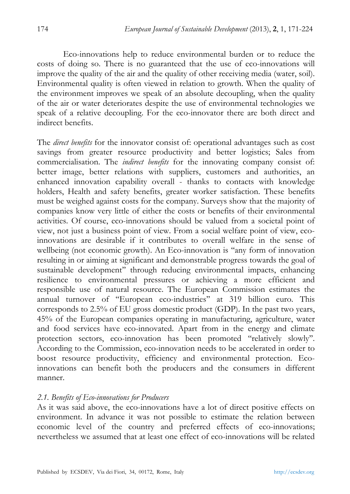Eco-innovations help to reduce environmental burden or to reduce the costs of doing so. There is no guaranteed that the use of eco-innovations will improve the quality of the air and the quality of other receiving media (water, soil). Environmental quality is often viewed in relation to growth. When the quality of the environment improves we speak of an absolute decoupling, when the quality of the air or water deteriorates despite the use of environmental technologies we speak of a relative decoupling. For the eco-innovator there are both direct and indirect benefits.

The *direct benefits* for the innovator consist of: operational advantages such as cost savings from greater resource productivity and better logistics; Sales from commercialisation. The *indirect benefits* for the innovating company consist of: better image, better relations with suppliers, customers and authorities, an enhanced innovation capability overall - thanks to contacts with knowledge holders, Health and safety benefits, greater worker satisfaction. These benefits must be weighed against costs for the company. Surveys show that the majority of companies know very little of either the costs or benefits of their environmental activities. Of course, eco-innovations should be valued from a societal point of view, not just a business point of view. From a social welfare point of view, ecoinnovations are desirable if it contributes to overall welfare in the sense of wellbeing (not economic growth). An Eco-innovation is "any form of innovation resulting in or aiming at significant and demonstrable progress towards the goal of sustainable development'' through reducing environmental impacts, enhancing resilience to environmental pressures or achieving a more efficient and responsible use of natural resource. The European Commission estimates the annual turnover of ''European eco-industries'' at 319 billion euro. This corresponds to 2.5% of EU gross domestic product (GDP). In the past two years, 45% of the European companies operating in manufacturing, agriculture, water and food services have eco-innovated. Apart from in the energy and climate protection sectors, eco-innovation has been promoted ''relatively slowly''. According to the Commission, eco-innovation needs to be accelerated in order to boost resource productivity, efficiency and environmental protection. Ecoinnovations can benefit both the producers and the consumers in different manner.

#### *2.1. Benefits of Eco-innovations for Producers*

As it was said above, the eco-innovations have a lot of direct positive effects on environment. In advance it was not possible to estimate the relation between economic level of the country and preferred effects of eco-innovations; nevertheless we assumed that at least one effect of eco-innovations will be related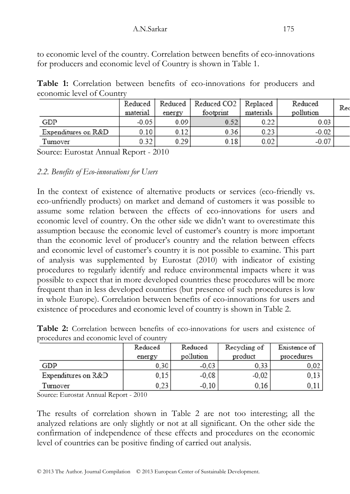to economic level of the country. Correlation between benefits of eco-innovations for producers and economic level of Country is shown in Table 1.

**Table 1:** Correlation between benefits of eco-innovations for producers and economic level of Country

|                     | Reduced<br>material | Reduced<br>energy | Reduced CO2<br>footprint | Replaced<br>materials | Reduced<br>pollution | Rec |
|---------------------|---------------------|-------------------|--------------------------|-----------------------|----------------------|-----|
| GDP                 | $-0.05$             | 0.09              | 0.52                     | 0.22                  | 0.03                 |     |
| Expenditures on R&D | 0.10                | 0.12              | 0.36                     | 0.23                  | $-0.02$              |     |
| Tumover             | 0.32                | 0.29              | 0.18                     | 0.02                  | $-0.07$              |     |

Source: Eurostat Annual Report - 2010

## *2.2. Benefits of Eco-innovations for Users*

In the context of existence of alternative products or services (eco-friendly vs. eco-unfriendly products) on market and demand of customers it was possible to assume some relation between the effects of eco-innovations for users and economic level of country. On the other side we didn't want to overestimate this assumption because the economic level of customer's country is more important than the economic level of producer's country and the relation between effects and economic level of customer's country it is not possible to examine. This part of analysis was supplemented by Eurostat (2010) with indicator of existing procedures to regularly identify and reduce environmental impacts where it was possible to expect that in more developed countries these procedures will be more frequent than in less developed countries (but presence of such procedures is low in whole Europe). Correlation between benefits of eco-innovations for users and existence of procedures and economic level of country is shown in Table 2.

**Table 2:** Correlation between benefits of eco-innovations for users and existence of procedures and economic level of country

|                     | Reduced | Reduced   | Recycling of | Existence of |  |
|---------------------|---------|-----------|--------------|--------------|--|
|                     | energy  | pollution | product      | procedures   |  |
| GDP                 | 0,30    | $-0,03$   | 0,33         | 0.02         |  |
| Expenditures on R&D | 0,15    | $-0.08$   | $-0.02$      | 0.13         |  |
| Turnover            | 0.23    | $-0.10$   | 0.16         |              |  |

Source: Eurostat Annual Report - 2010

The results of correlation shown in Table 2 are not too interesting; all the analyzed relations are only slightly or not at all significant. On the other side the confirmation of independence of these effects and procedures on the economic level of countries can be positive finding of carried out analysis.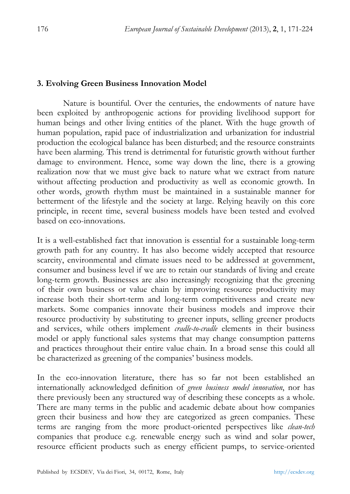## **3. Evolving Green Business Innovation Model**

Nature is bountiful. Over the centuries, the endowments of nature have been exploited by anthropogenic actions for providing livelihood support for human beings and other living entities of the planet. With the huge growth of human population, rapid pace of industrialization and urbanization for industrial production the ecological balance has been disturbed; and the resource constraints have been alarming. This trend is detrimental for futuristic growth without further damage to environment. Hence, some way down the line, there is a growing realization now that we must give back to nature what we extract from nature without affecting production and productivity as well as economic growth. In other words, growth rhythm must be maintained in a sustainable manner for betterment of the lifestyle and the society at large. Relying heavily on this core principle, in recent time, several business models have been tested and evolved based on eco-innovations.

It is a well-established fact that innovation is essential for a sustainable long-term growth path for any country. It has also become widely accepted that resource scarcity, environmental and climate issues need to be addressed at government, consumer and business level if we are to retain our standards of living and create long-term growth. Businesses are also increasingly recognizing that the greening of their own business or value chain by improving resource productivity may increase both their short-term and long-term competitiveness and create new markets. Some companies innovate their business models and improve their resource productivity by substituting to greener inputs, selling greener products and services, while others implement *cradle-to-cradle* elements in their business model or apply functional sales systems that may change consumption patterns and practices throughout their entire value chain. In a broad sense this could all be characterized as greening of the companies' business models.

In the eco-innovation literature, there has so far not been established an internationally acknowledged definition of *green business model innovation*, nor has there previously been any structured way of describing these concepts as a whole. There are many terms in the public and academic debate about how companies green their business and how they are categorized as green companies. These terms are ranging from the more product-oriented perspectives like *clean-tech* companies that produce e.g. renewable energy such as wind and solar power, resource efficient products such as energy efficient pumps, to service-oriented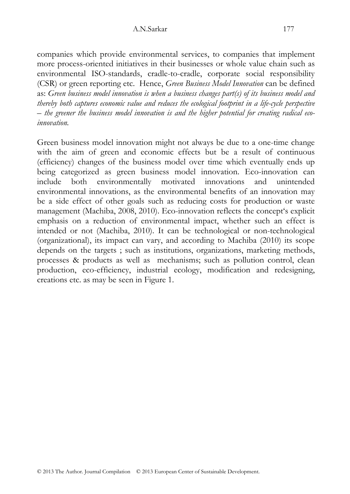companies which provide environmental services, to companies that implement more process-oriented initiatives in their businesses or whole value chain such as environmental ISO-standards, cradle-to-cradle, corporate social responsibility (CSR) or green reporting etc. Hence, *Green Business Model Innovation* can be defined as: *Green business model innovation is when a business changes part(s) of its business model and thereby both captures economic value and reduces the ecological footprint in a life-cycle perspective – the greener the business model innovation is and the higher potential for creating radical ecoinnovation.* 

Green business model innovation might not always be due to a one-time change with the aim of green and economic effects but be a result of continuous (efficiency) changes of the business model over time which eventually ends up being categorized as green business model innovation. Eco-innovation can include both environmentally motivated innovations and unintended environmental innovations, as the environmental benefits of an innovation may be a side effect of other goals such as reducing costs for production or waste management (Machiba, 2008, 2010). Eco-innovation reflects the concept's explicit emphasis on a reduction of environmental impact, whether such an effect is intended or not (Machiba, 2010). It can be technological or non-technological (organizational), its impact can vary, and according to Machiba (2010) its scope depends on the targets ; such as institutions, organizations, marketing methods, processes & products as well as mechanisms; such as pollution control, clean production, eco-efficiency, industrial ecology, modification and redesigning, creations etc. as may be seen in Figure 1.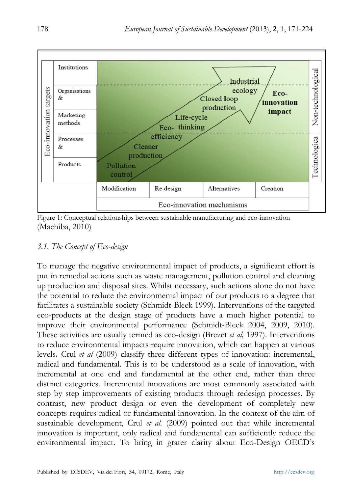

Figure 1**:** Conceptual relationships between sustainable manufacturing and eco-innovation (Machiba, 2010)

# *3.1. The Concept of Eco-design*

To manage the negative environmental impact of products, a significant effort is put in remedial actions such as waste management, pollution control and cleaning up production and disposal sites. Whilst necessary, such actions alone do not have the potential to reduce the environmental impact of our products to a degree that facilitates a sustainable society (Schmidt-Bleek 1999). Interventions of the targeted eco-products at the design stage of products have a much higher potential to improve their environmental performance (Schmidt-Bleek 2004, 2009, 2010). These activities are usually termed as eco-design (Brezet *et al,* 1997). Interventions to reduce environmental impacts require innovation, which can happen at various levels**.** Crul *et al* (2009) classify three different types of innovation: incremental, radical and fundamental. This is to be understood as a scale of innovation, with incremental at one end and fundamental at the other end, rather than three distinct categories. Incremental innovations are most commonly associated with step by step improvements of existing products through redesign processes. By contrast, new product design or even the development of completely new concepts requires radical or fundamental innovation. In the context of the aim of sustainable development, Crul *et al.* (2009) pointed out that while incremental innovation is important, only radical and fundamental can sufficiently reduce the environmental impact. To bring in grater clarity about Eco-Design OECD's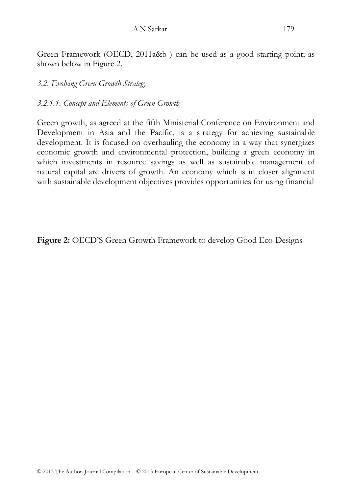Green Framework (OECD, 2011a&b ) can be used as a good starting point; as shown below in Figure 2.

## *3.2. Evolving Green Growth Strategy*

## *3.2.1.1. Concept and Elements of Green Growth*

Green growth, as agreed at the fifth Ministerial Conference on Environment and Development in Asia and the Pacific, is a strategy for achieving sustainable development. It is focused on overhauling the economy in a way that synergizes economic growth and environmental protection, building a green economy in which investments in resource savings as well as sustainable management of natural capital are drivers of growth. An economy which is in closer alignment with sustainable development objectives provides opportunities for using financial

**Figure 2:** OECD'S Green Growth Framework to develop Good Eco-Designs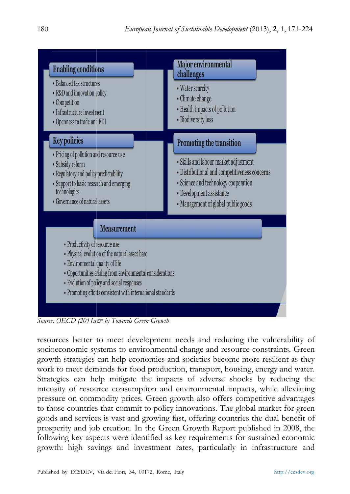

*Source:* OECD (2011a $\check{\mathcal{C}}$ <sup>*b*</sup>) Towards Green Growth

resources better to meet development needs and reducing the vulnerability of socioeconomic systems to environmental change and resource constraints. Green growth strategies can help economies and societies become more resilient as they work to meet demands for food production, transport, housing, energy and water. Strategies can help mitigate the impacts of adverse shocks by reducing the intensity of resource consumption and environmental impacts, while alleviating pressure on commodity prices. Green growth also offers competitive advantages to those countries that commit to policy innovations. The global market for green goods and services is vast and growing fast, offering countries the dual benefit of prosperity and job creation. In the Green Growth Report published in 2008, the following key aspects were identified as key requirements for sustained economic growth: high savings and investment rates, particularly in infrastructure and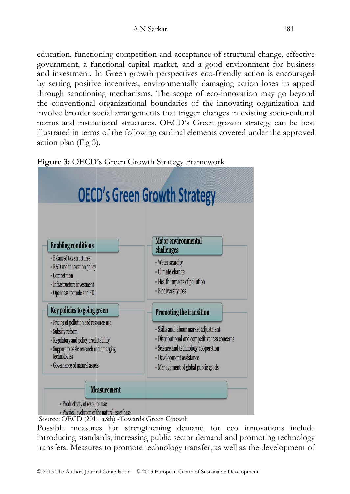education, functioning competition and acceptance of structural change, effective government, a functional capital market, and a good environment for business and investment. In Green growth perspectives eco-friendly action is encouraged by setting positive incentives; environmentally damaging action loses its appeal through sanctioning mechanisms. The scope of eco-innovation may go beyond the conventional organizational boundaries of the innovating organization and involve broader social arrangements that trigger changes in existing socio-cultural norms and institutional structures. OECD's Green growth strategy can be best illustrated in terms of the following cardinal elements covered under the approved action plan (Fig 3).





• Physical evolution of the natural asset base Source: OECD (2011 a&b) -Towards Green Growth

Possible measures for strengthening demand for eco innovations include introducing standards, increasing public sector demand and promoting technology transfers. Measures to promote technology transfer, as well as the development of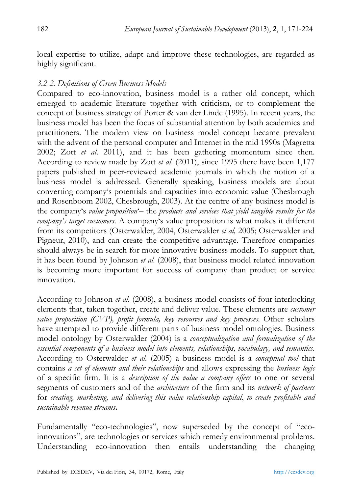local expertise to utilize, adapt and improve these technologies, are regarded as highly significant.

## *3.2 2. Definitions of Green Business Models*

Compared to eco-innovation, business model is a rather old concept, which emerged to academic literature together with criticism, or to complement the concept of business strategy of Porter & van der Linde (1995). In recent years, the business model has been the focus of substantial attention by both academics and practitioners. The modern view on business model concept became prevalent with the advent of the personal computer and Internet in the mid 1990s (Magretta 2002; Zott *et al*. 2011), and it has been gathering momentum since then. According to review made by Zott *et al*. (2011), since 1995 there have been 1,177 papers published in peer-reviewed academic journals in which the notion of a business model is addressed. Generally speaking, business models are about converting company's potentials and capacities into economic value (Chesbrough and Rosenboom 2002, Chesbrough, 2003). At the centre of any business model is the company's *value proposition*'– the *products and services that yield tangible results for the company's target customers*. A company's value proposition is what makes it different from its competitors (Osterwalder, 2004, Osterwalder *et al,* 2005; Osterwalder and Pigneur, 2010), and can create the competitive advantage. Therefore companies should always be in search for more innovative business models. To support that, it has been found by Johnson *et al.* (2008), that business model related innovation is becoming more important for success of company than product or service innovation.

According to Johnson *et al.* (2008), a business model consists of four interlocking elements that, taken together, create and deliver value. These elements are *customer value proposition (CVP), profit formula, key resources and key processes*. Other scholars have attempted to provide different parts of business model ontologies. Business model ontology by Osterwalder (2004) is a *conceptualization and formalization of the essential components of a business model into elements, relationships, vocabulary, and semantics*. According to Osterwalder *et al.* (2005) a business model is a *conceptual tool* that contains *a set of elements and their relationships* and allows expressing the *business logic*  of a specific firm. It is a *description of the value a company offers* to one or several segments of customers and of the *architecture* of the firm and its *network of partners*  for *creating, marketing, and delivering this value relationship capital*, *to create profitable and sustainable revenue streams***.** 

Fundamentally "eco-technologies", now superseded by the concept of "ecoinnovations", are technologies or services which remedy environmental problems. Understanding eco-innovation then entails understanding the changing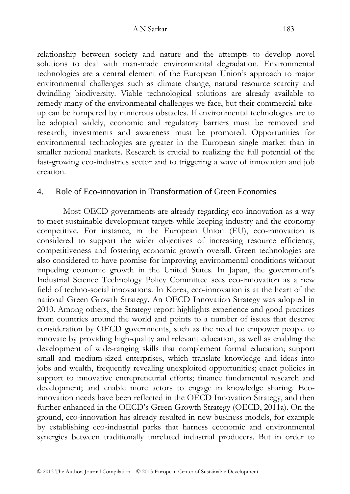relationship between society and nature and the attempts to develop novel solutions to deal with man-made environmental degradation. Environmental technologies are a central element of the European Union's approach to major environmental challenges such as climate change, natural resource scarcity and dwindling biodiversity. Viable technological solutions are already available to remedy many of the environmental challenges we face, but their commercial takeup can be hampered by numerous obstacles. If environmental technologies are to be adopted widely, economic and regulatory barriers must be removed and research, investments and awareness must be promoted. Opportunities for environmental technologies are greater in the European single market than in smaller national markets. Research is crucial to realizing the full potential of the fast-growing eco-industries sector and to triggering a wave of innovation and job creation.

## 4. Role of Eco-innovation in Transformation of Green Economies

Most OECD governments are already regarding eco-innovation as a way to meet sustainable development targets while keeping industry and the economy competitive. For instance, in the European Union (EU), eco-innovation is considered to support the wider objectives of increasing resource efficiency, competitiveness and fostering economic growth overall. Green technologies are also considered to have promise for improving environmental conditions without impeding economic growth in the United States. In Japan, the government's Industrial Science Technology Policy Committee sees eco-innovation as a new field of techno-social innovations. In Korea, eco-innovation is at the heart of the national Green Growth Strategy. An OECD Innovation Strategy was adopted in 2010. Among others, the Strategy report highlights experience and good practices from countries around the world and points to a number of issues that deserve consideration by OECD governments, such as the need to: empower people to innovate by providing high-quality and relevant education, as well as enabling the development of wide-ranging skills that complement formal education; support small and medium-sized enterprises, which translate knowledge and ideas into jobs and wealth, frequently revealing unexploited opportunities; enact policies in support to innovative entrepreneurial efforts; finance fundamental research and development; and enable more actors to engage in knowledge sharing. Ecoinnovation needs have been reflected in the OECD Innovation Strategy, and then further enhanced in the OECD's Green Growth Strategy (OECD, 2011a). On the ground, eco-innovation has already resulted in new business models, for example by establishing eco-industrial parks that harness economic and environmental synergies between traditionally unrelated industrial producers. But in order to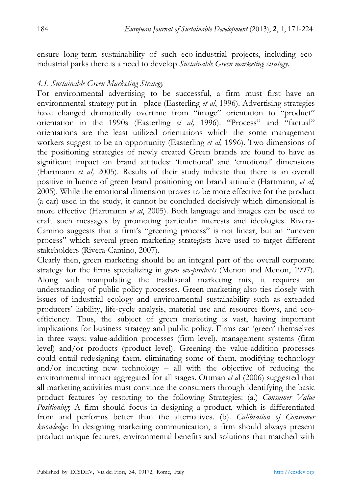ensure long-term sustainability of such eco-industrial projects, including ecoindustrial parks there is a need to develop *Sustainable Green marketing strategy*.

#### *4.1. Sustainable Green Marketing Strategy*

For environmental advertising to be successful, a firm must first have an environmental strategy put in place (Easterling *et al*, 1996). Advertising strategies have changed dramatically overtime from "image" orientation to "product" orientation in the 1990s (Easterling *et al,* 1996). "Process" and "factual" orientations are the least utilized orientations which the some management workers suggest to be an opportunity (Easterling *et al,* 1996). Two dimensions of the positioning strategies of newly created Green brands are found to have as significant impact on brand attitudes: 'functional' and 'emotional' dimensions (Hartmann *et al,* 2005). Results of their study indicate that there is an overall positive influence of green brand positioning on brand attitude (Hartmann, *et al,* 2005). While the emotional dimension proves to be more effective for the product (a car) used in the study, it cannot be concluded decisively which dimensional is more effective (Hartmann *et al*, 2005). Both language and images can be used to craft such messages by promoting particular interests and ideologies. Rivera-Camino suggests that a firm's "greening process" is not linear, but an "uneven process" which several green marketing strategists have used to target different stakeholders (Rivera-Camino, 2007).

Clearly then, green marketing should be an integral part of the overall corporate strategy for the firms specializing in *green eco-products* (Menon and Menon, 1997). Along with manipulating the traditional marketing mix, it requires an understanding of public policy processes. Green marketing also ties closely with issues of industrial ecology and environmental sustainability such as extended producers' liability, life-cycle analysis, material use and resource flows, and ecoefficiency. Thus, the subject of green marketing is vast, having important implications for business strategy and public policy. Firms can 'green' themselves in three ways: value-addition processes (firm level), management systems (firm level) and/or products (product level). Greening the value-addition processes could entail redesigning them, eliminating some of them, modifying technology and/or inducting new technology – all with the objective of reducing the environmental impact aggregated for all stages. Ottman *et a*l (2006) suggested that all marketing activities must convince the consumers through identifying the basic product features by resorting to the following Strategies: (a.) *Consumer Value Positioning*: A firm should focus in designing a product, which is differentiated from and performs better than the alternatives. (b). *Calibration of Consumer knowledge*: In designing marketing communication, a firm should always present product unique features, environmental benefits and solutions that matched with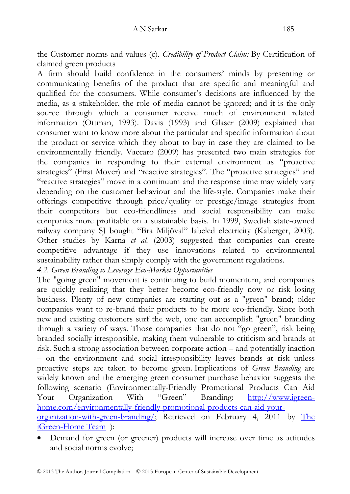the Customer norms and values (c). *Credibility of Product Claim:* By Certification of claimed green products

A firm should build confidence in the consumers' minds by presenting or communicating benefits of the product that are specific and meaningful and qualified for the consumers. While consumer's decisions are influenced by the media, as a stakeholder, the role of media cannot be ignored; and it is the only source through which a consumer receive much of environment related information (Ottman, 1993). Davis (1993) and Glaser (2009) explained that consumer want to know more about the particular and specific information about the product or service which they about to buy in case they are claimed to be environmentally friendly. Vaccaro (2009) has presented two main strategies for the companies in responding to their external environment as "proactive strategies" (First Mover) and "reactive strategies". The "proactive strategies" and "reactive strategies" move in a continuum and the response time may widely vary depending on the customer behaviour and the life-style. Companies make their offerings competitive through price/quality or prestige/image strategies from their competitors but eco-friendliness and social responsibility can make companies more profitable on a sustainable basis. In 1999, Swedish state-owned railway company SJ bought "Bra Miljöval" labeled electricity (Kaberger, 2003). Other studies by Karna *et al.* (2003) suggested that companies can create competitive advantage if they use innovations related to environmental sustainability rather than simply comply with the government regulations.

*4.2. Green Branding to Leverage Eco-Market Opportunities* 

The "going green" movement is continuing to build momentum, and companies are quickly realizing that they better become eco-friendly now or risk losing business. Plenty of new companies are starting out as a "green" brand; older companies want to re-brand their products to be more eco-friendly. Since both new and existing customers surf the web, one can accomplish "green" branding through a variety of ways. Those companies that do not "go green", risk being branded socially irresponsible, making them vulnerable to criticism and brands at risk. Such a strong association between corporate action – and potentially inaction – on the environment and social irresponsibility leaves brands at risk unless proactive steps are taken to become green. Implications of *Green Branding* are widely known and the emerging green consumer purchase behavior suggests the following scenario (Environmentally-Friendly Promotional Products Can Aid<br>Your Organization With "Green" Branding: http://www.igreen-Your Organization With "Green" Branding: http://www.igreenhome.com/environmentally-friendly-promotional-products-can-aid-yourorganization-with-green-branding/; Retrieved on February 4, 2011 by The iGreen-Home Team ):

• Demand for green (or greener) products will increase over time as attitudes and social norms evolve;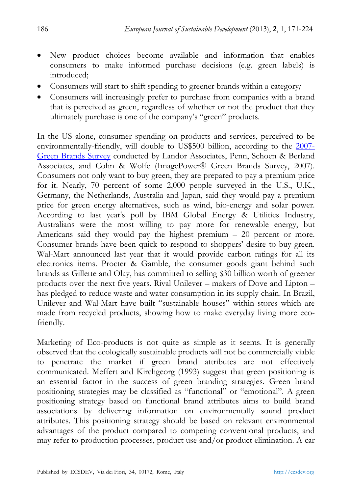- New product choices become available and information that enables consumers to make informed purchase decisions (e.g. green labels) is introduced;
- Consumers will start to shift spending to greener brands within a category*;*
- Consumers will increasingly prefer to purchase from companies with a brand that is perceived as green, regardless of whether or not the product that they ultimately purchase is one of the company's "green" products.

In the US alone, consumer spending on products and services, perceived to be environmentally-friendly, will double to US\$500 billion, according to the 2007-Green Brands Survey conducted by Landor Associates, Penn, Schoen & Berland Associates, and Cohn & Wolfe (ImagePower® Green Brands Survey, 2007). Consumers not only want to buy green, they are prepared to pay a premium price for it. Nearly, 70 percent of some 2,000 people surveyed in the U.S., U.K., Germany, the Netherlands, Australia and Japan, said they would pay a premium price for green energy alternatives, such as wind, bio-energy and solar power. According to last year's poll by IBM Global Energy & Utilities Industry, Australians were the most willing to pay more for renewable energy, but Americans said they would pay the highest premium – 20 percent or more. Consumer brands have been quick to respond to shoppers' desire to buy green. Wal-Mart announced last year that it would provide carbon ratings for all its electronics items. Procter & Gamble, the consumer goods giant behind such brands as Gillette and Olay, has committed to selling \$30 billion worth of greener products over the next five years. Rival Unilever – makers of Dove and Lipton – has pledged to reduce waste and water consumption in its supply chain. In Brazil, Unilever and Wal-Mart have built "sustainable houses" within stores which are made from recycled products, showing how to make everyday living more ecofriendly.

Marketing of Eco-products is not quite as simple as it seems. It is generally observed that the ecologically sustainable products will not be commercially viable to penetrate the market if green brand attributes are not effectively communicated. Meffert and Kirchgeorg (1993) suggest that green positioning is an essential factor in the success of green branding strategies. Green brand positioning strategies may be classified as "functional" or "emotional". A green positioning strategy based on functional brand attributes aims to build brand associations by delivering information on environmentally sound product attributes. This positioning strategy should be based on relevant environmental advantages of the product compared to competing conventional products, and may refer to production processes, product use and/or product elimination. A car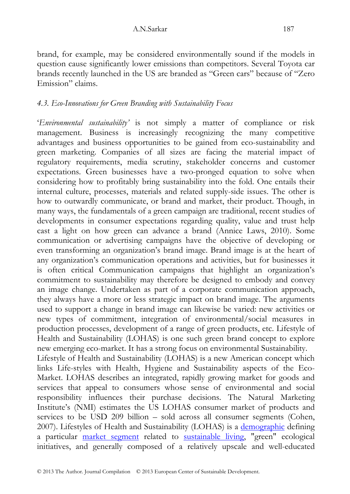brand, for example, may be considered environmentally sound if the models in question cause significantly lower emissions than competitors. Several Toyota car brands recently launched in the US are branded as "Green cars" because of "Zero Emission" claims.

# *4.3. Eco-Innovations for Green Branding with Sustainability Focus*

'*Environmental sustainability'* is not simply a matter of compliance or risk management. Business is increasingly recognizing the many competitive advantages and business opportunities to be gained from eco-sustainability and green marketing. Companies of all sizes are facing the material impact of regulatory requirements, media scrutiny, stakeholder concerns and customer expectations. Green businesses have a two-pronged equation to solve when considering how to profitably bring sustainability into the fold. One entails their internal culture, processes, materials and related supply-side issues. The other is how to outwardly communicate, or brand and market, their product. Though, in many ways, the fundamentals of a green campaign are traditional, recent studies of developments in consumer expectations regarding quality, value and trust help cast a light on how green can advance a brand (Annice Laws, 2010). Some communication or advertising campaigns have the objective of developing or even transforming an organization's brand image. Brand image is at the heart of any organization's communication operations and activities, but for businesses it is often critical Communication campaigns that highlight an organization's commitment to sustainability may therefore be designed to embody and convey an image change. Undertaken as part of a corporate communication approach, they always have a more or less strategic impact on brand image. The arguments used to support a change in brand image can likewise be varied: new activities or new types of commitment, integration of environmental/social measures in production processes, development of a range of green products, etc. Lifestyle of Health and Sustainability (LOHAS) is one such green brand concept to explore new emerging eco-market. It has a strong focus on environmental Sustainability. Lifestyle of Health and Sustainability (LOHAS) is a new American concept which links Life-styles with Health, Hygiene and Sustainability aspects of the Eco-Market. LOHAS describes an integrated, rapidly growing market for goods and services that appeal to consumers whose sense of environmental and social responsibility influences their purchase decisions. The Natural Marketing Institute's (NMI) estimates the US LOHAS consumer market of products and services to be USD 209 billion – sold across all consumer segments (Cohen,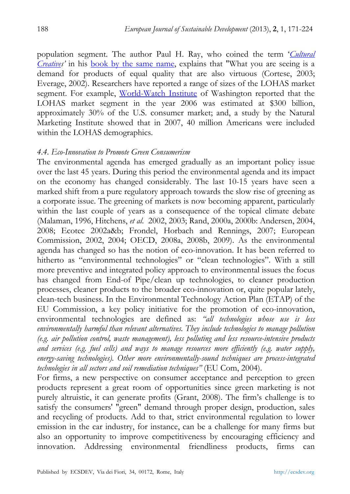population segment. The author Paul H. Ray, who coined the term '*Cultural Creatives'* in his book by the same name, explains that "What you are seeing is a demand for products of equal quality that are also virtuous (Cortese, 2003; Everage, 2002). Researchers have reported a range of sizes of the LOHAS market segment. For example, World-Watch Institute of Washington reported that the LOHAS market segment in the year 2006 was estimated at \$300 billion, approximately 30% of the U.S. consumer market; and, a study by the Natural Marketing Institute showed that in 2007, 40 million Americans were included within the LOHAS demographics.

#### *4.4. Eco-Innovation to Promote Green Consumerism*

The environmental agenda has emerged gradually as an important policy issue over the last 45 years. During this period the environmental agenda and its impact on the economy has changed considerably. The last 10-15 years have seen a marked shift from a pure regulatory approach towards the slow rise of greening as a corporate issue. The greening of markets is now becoming apparent, particularly within the last couple of years as a consequence of the topical climate debate (Malaman, 1996, Hitchens, *et al*. 2002, 2003; Rand, 2000a, 2000b: Andersen, 2004, 2008; Ecotec 2002a&b; Frondel, Horbach and Rennings, 2007; European Commission, 2002, 2004; OECD, 2008a, 2008b, 2009). As the environmental agenda has changed so has the notion of eco-innovation. It has been referred to hitherto as "environmental technologies" or "clean technologies". With a still more preventive and integrated policy approach to environmental issues the focus has changed from End-of Pipe/clean up technologies, to cleaner production processes, cleaner products to the broader eco-innovation or, quite popular lately, clean-tech business. In the Environmental Technology Action Plan (ETAP) of the EU Commission, a key policy initiative for the promotion of eco-innovation, environmental technologies are defined as: *"all technologies whose use is less environmentally harmful than relevant alternatives. They include technologies to manage pollution (e.g. air pollution control, waste management), less polluting and less resource-intensive products and services (e.g. fuel cells) and ways to manage resources more efficiently (e.g. water supply, energy-saving technologies). Other more environmentally-sound techniques are process-integrated technologies in all sectors and soil remediation techniques"* (EU Com, 2004).

For firms, a new perspective on consumer acceptance and perception to green products represent a great room of opportunities since green marketing is not purely altruistic, it can generate profits (Grant, 2008). The firm's challenge is to satisfy the consumers' "green" demand through proper design, production, sales and recycling of products. Add to that, strict environmental regulation to lower emission in the car industry, for instance, can be a challenge for many firms but also an opportunity to improve competitiveness by encouraging efficiency and innovation. Addressing environmental friendliness products, firms can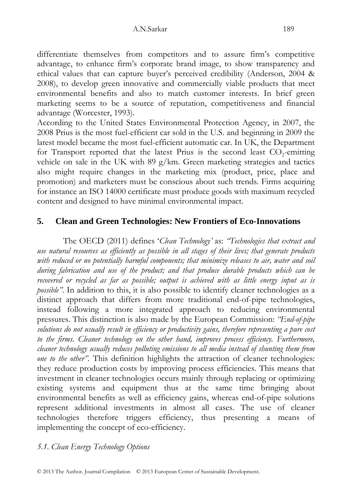differentiate themselves from competitors and to assure firm's competitive advantage, to enhance firm's corporate brand image, to show transparency and ethical values that can capture buyer's perceived credibility (Anderson, 2004 & 2008), to develop green innovative and commercially viable products that meet environmental benefits and also to match customer interests. In brief green marketing seems to be a source of reputation, competitiveness and financial advantage (Worcester, 1993).

According to the United States Environmental Protection Agency, in 2007, the 2008 Prius is the most fuel-efficient car sold in the U.S. and beginning in 2009 the latest model became the most fuel-efficient automatic car. In UK, the Department for Transport reported that the latest Prius is the second least  $CO<sub>2</sub>$ -emitting vehicle on sale in the UK with 89 g/km. Green marketing strategies and tactics also might require changes in the marketing mix (product, price, place and promotion) and marketers must be conscious about such trends. Firms acquiring for instance an ISO 14000 certificate must produce goods with maximum recycled content and designed to have minimal environmental impact.

# **5. Clean and Green Technologies: New Frontiers of Eco-Innovations**

The OECD (2011) defines '*Clean Technology'* as: *"Technologies that extract and use natural resources as efficiently as possible in all stages of their lives; that generate products with reduced or no potentially harmful components; that minimize releases to air, water and soil during fabrication and use of the product; and that produce durable products which can be recovered or recycled as far as possible; output is achieved with as little energy input as is possible".* In addition to this, it is also possible to identify cleaner technologies as a distinct approach that differs from more traditional end-of-pipe technologies, instead following a more integrated approach to reducing environmental pressures. This distinction is also made by the European Commission: *"End-of-pipe solutions do not usually result in efficiency or productivity gains, therefore representing a pure cost to the firms. Cleaner technology on the other hand, improves process efficiency. Furthermore, cleaner technology usually reduces polluting emissions to all media instead of shunting them from one to the other"*. This definition highlights the attraction of cleaner technologies: they reduce production costs by improving process efficiencies. This means that investment in cleaner technologies occurs mainly through replacing or optimizing existing systems and equipment thus at the same time bringing about environmental benefits as well as efficiency gains, whereas end-of-pipe solutions represent additional investments in almost all cases. The use of cleaner technologies therefore triggers efficiency, thus presenting a means of implementing the concept of eco-efficiency.

## *5.1. Clean Energy Technology Options*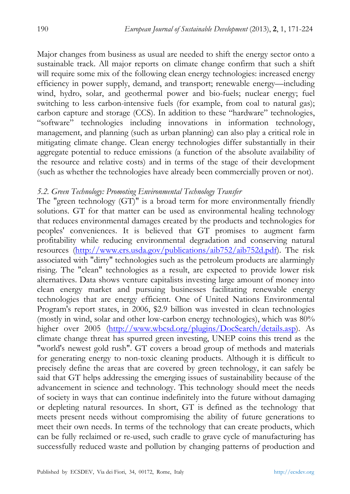Major changes from business as usual are needed to shift the energy sector onto a sustainable track. All major reports on climate change confirm that such a shift will require some mix of the following clean energy technologies: increased energy efficiency in power supply, demand, and transport; renewable energy—including wind, hydro, solar, and geothermal power and bio-fuels; nuclear energy; fuel switching to less carbon-intensive fuels (for example, from coal to natural gas); carbon capture and storage (CCS). In addition to these "hardware" technologies, "software" technologies including innovations in information technology, management, and planning (such as urban planning) can also play a critical role in mitigating climate change. Clean energy technologies differ substantially in their aggregate potential to reduce emissions (a function of the absolute availability of the resource and relative costs) and in terms of the stage of their development (such as whether the technologies have already been commercially proven or not).

#### *5.2. Green Technology: Promoting Environmental Technology Transfer*

The "green technology (GT)" is a broad term for more environmentally friendly solutions. GT for that matter can be used as environmental healing technology that reduces environmental damages created by the products and technologies for peoples' conveniences. It is believed that GT promises to augment farm profitability while reducing environmental degradation and conserving natural resources (http://www.ers.usda.gov/publications/aib752/aib752d.pdf). The risk associated with "dirty" technologies such as the petroleum products are alarmingly rising. The "clean" technologies as a result, are expected to provide lower risk alternatives. Data shows venture capitalists investing large amount of money into clean energy market and pursuing businesses facilitating renewable energy technologies that are energy efficient. One of United Nations Environmental Program's report states, in 2006, \$2.9 billion was invested in clean technologies (mostly in wind, solar and other low-carbon energy technologies), which was 80% higher over 2005 (http://www.wbcsd.org/plugins/DocSearch/details.asp). As climate change threat has spurred green investing, UNEP coins this trend as the "world's newest gold rush". GT covers a broad group of methods and materials for generating energy to non-toxic cleaning products. Although it is difficult to precisely define the areas that are covered by green technology, it can safely be said that GT helps addressing the emerging issues of sustainability because of the advancement in science and technology. This technology should meet the needs of society in ways that can continue indefinitely into the future without damaging or depleting natural resources. In short, GT is defined as the technology that meets present needs without compromising the ability of future generations to meet their own needs. In terms of the technology that can create products, which can be fully reclaimed or re-used, such cradle to grave cycle of manufacturing has successfully reduced waste and pollution by changing patterns of production and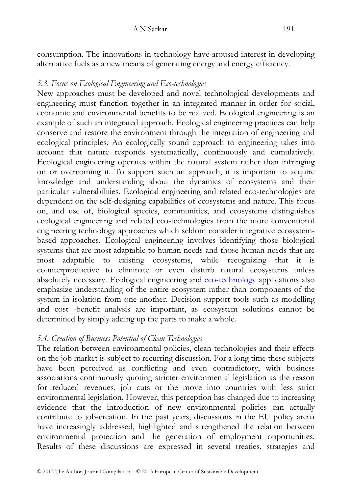consumption. The innovations in technology have aroused interest in developing alternative fuels as a new means of generating energy and energy efficiency.

## *5.3. Focus on Ecological Engineering and Eco-technologies*

New approaches must be developed and novel technological developments and engineering must function together in an integrated manner in order for social, economic and environmental benefits to be realized. Ecological engineering is an example of such an integrated approach. Ecological engineering practices can help conserve and restore the environment through the integration of engineering and ecological principles. An ecologically sound approach to engineering takes into account that nature responds systematically, continuously and cumulatively. Ecological engineering operates within the natural system rather than infringing on or overcoming it. To support such an approach, it is important to acquire knowledge and understanding about the dynamics of ecosystems and their particular vulnerabilities. Ecological engineering and related eco-technologies are dependent on the self-designing capabilities of ecosystems and nature. This focus on, and use of, biological species, communities, and ecosystems distinguishes ecological engineering and related eco-technologies from the more conventional engineering technology approaches which seldom consider integrative ecosystembased approaches. Ecological engineering involves identifying those biological systems that are most adaptable to human needs and those human needs that are most adaptable to existing ecosystems, while recognizing that it is counterproductive to eliminate or even disturb natural ecosystems unless absolutely necessary. Ecological engineering and eco-technology applications also emphasize understanding of the entire ecosystem rather than components of the system in isolation from one another. Decision support tools such as modelling and cost -benefit analysis are important, as ecosystem solutions cannot be determined by simply adding up the parts to make a whole.

# *5.4. Creation of Business Potential of Clean Technologies*

The relation between environmental policies, clean technologies and their effects on the job market is subject to recurring discussion. For a long time these subjects have been perceived as conflicting and even contradictory, with business associations continuously quoting stricter environmental legislation as the reason for reduced revenues, job cuts or the move into countries with less strict environmental legislation. However, this perception has changed due to increasing evidence that the introduction of new environmental policies can actually contribute to job-creation. In the past years, discussions in the EU policy arena have increasingly addressed, highlighted and strengthened the relation between environmental protection and the generation of employment opportunities. Results of these discussions are expressed in several treaties, strategies and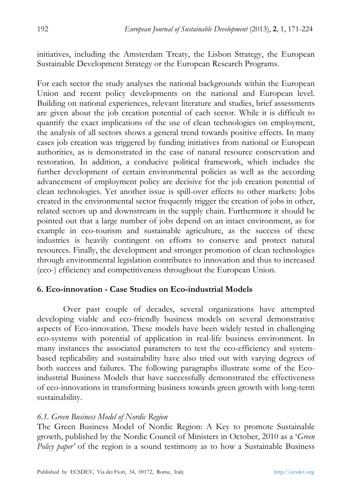initiatives, including the Amsterdam Treaty, the Lisbon Strategy, the European Sustainable Development Strategy or the European Research Programs.

For each sector the study analyses the national backgrounds within the European Union and recent policy developments on the national and European level. Building on national experiences, relevant literature and studies, brief assessments are given about the job creation potential of each sector. While it is difficult to quantify the exact implications of the use of clean technologies on employment, the analysis of all sectors shows a general trend towards positive effects. In many cases job creation was triggered by funding initiatives from national or European authorities, as is demonstrated in the case of natural resource conservation and restoration. In addition, a conducive political framework, which includes the further development of certain environmental policies as well as the according advancement of employment policy are decisive for the job creation potential of clean technologies. Yet another issue is spill-over effects to other markets: Jobs created in the environmental sector frequently trigger the creation of jobs in other, related sectors up and downstream in the supply chain. Furthermore it should be pointed out that a large number of jobs depend on an intact environment, as for example in eco-tourism and sustainable agriculture, as the success of these industries is heavily contingent on efforts to conserve and protect natural resources. Finally, the development and stronger promotion of clean technologies through environmental legislation contributes to innovation and thus to increased (eco-) efficiency and competitiveness throughout the European Union.

## **6. Eco-innovation - Case Studies on Eco-industrial Models**

Over past couple of decades, several organizations have attempted developing viable and eco-friendly business models on several demonstrative aspects of Eco-innovation. These models have been widely tested in challenging eco-systems with potential of application in real-life business environment. In many instances the associated parameters to test the eco-efficiency and systembased replicability and sustainability have also tried out with varying degrees of both success and failures. The following paragraphs illustrate some of the Ecoindustrial Business Models that have successfully demonstrated the effectiveness of eco-innovations in transforming business towards green growth with long-term sustainability.

#### *6.1. Green Business Model of Nordic Region*

The Green Business Model of Nordic Region: A Key to promote Sustainable growth, published by the Nordic Council of Ministers in October, 2010 as a '*Green Policy paper'* of the region is a sound testimony as to how a Sustainable Business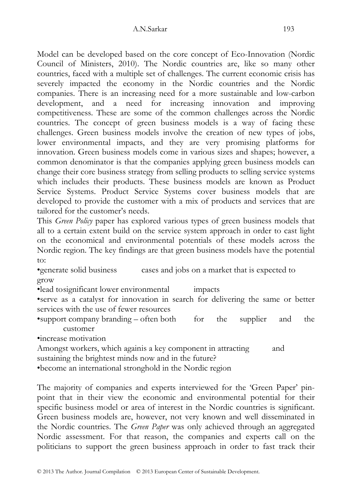Model can be developed based on the core concept of Eco-Innovation (Nordic Council of Ministers, 2010). The Nordic countries are, like so many other countries, faced with a multiple set of challenges. The current economic crisis has severely impacted the economy in the Nordic countries and the Nordic companies. There is an increasing need for a more sustainable and low-carbon development, and a need for increasing innovation and improving competitiveness. These are some of the common challenges across the Nordic countries. The concept of green business models is a way of facing these challenges. Green business models involve the creation of new types of jobs, lower environmental impacts, and they are very promising platforms for innovation. Green business models come in various sizes and shapes; however, a common denominator is that the companies applying green business models can change their core business strategy from selling products to selling service systems which includes their products. These business models are known as Product Service Systems. Product Service Systems cover business models that are developed to provide the customer with a mix of products and services that are tailored for the customer's needs.

This *Green Policy* paper has explored various types of green business models that all to a certain extent build on the service system approach in order to cast light on the economical and environmental potentials of these models across the Nordic region. The key findings are that green business models have the potential to:

•generate solid business cases and jobs on a market that is expected to grow

•lead to significant lower environmental impacts

•serve as a catalyst for innovation in search for delivering the same or better services with the use of fewer resources

•support company branding – often both for the supplier and the customer

•increase motivation

Amongst workers, which again is a key component in attracting and sustaining the brightest minds now and in the future?

•become an international stronghold in the Nordic region

The majority of companies and experts interviewed for the 'Green Paper' pinpoint that in their view the economic and environmental potential for their specific business model or area of interest in the Nordic countries is significant. Green business models are, however, not very known and well disseminated in the Nordic countries. The *Green Paper* was only achieved through an aggregated Nordic assessment. For that reason, the companies and experts call on the politicians to support the green business approach in order to fast track their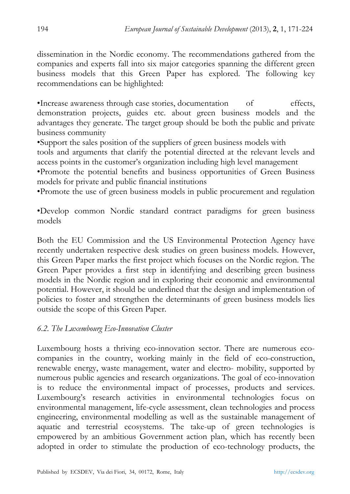dissemination in the Nordic economy. The recommendations gathered from the companies and experts fall into six major categories spanning the different green business models that this Green Paper has explored. The following key recommendations can be highlighted:

•Increase awareness through case stories, documentation of effects, demonstration projects, guides etc. about green business models and the advantages they generate. The target group should be both the public and private business community

•Support the sales position of the suppliers of green business models with

tools and arguments that clarify the potential directed at the relevant levels and access points in the customer's organization including high level management

•Promote the potential benefits and business opportunities of Green Business models for private and public financial institutions

•Promote the use of green business models in public procurement and regulation

•Develop common Nordic standard contract paradigms for green business models

Both the EU Commission and the US Environmental Protection Agency have recently undertaken respective desk studies on green business models. However, this Green Paper marks the first project which focuses on the Nordic region. The Green Paper provides a first step in identifying and describing green business models in the Nordic region and in exploring their economic and environmental potential. However, it should be underlined that the design and implementation of policies to foster and strengthen the determinants of green business models lies outside the scope of this Green Paper.

## *6.2. The Luxembourg Eco-Innovation Cluster*

Luxembourg hosts a thriving eco-innovation sector. There are numerous ecocompanies in the country, working mainly in the field of eco-construction, renewable energy, waste management, water and electro- mobility, supported by numerous public agencies and research organizations. The goal of eco-innovation is to reduce the environmental impact of processes, products and services. Luxembourg's research activities in environmental technologies focus on environmental management, life-cycle assessment, clean technologies and process engineering, environmental modelling as well as the sustainable management of aquatic and terrestrial ecosystems. The take-up of green technologies is empowered by an ambitious Government action plan, which has recently been adopted in order to stimulate the production of eco-technology products, the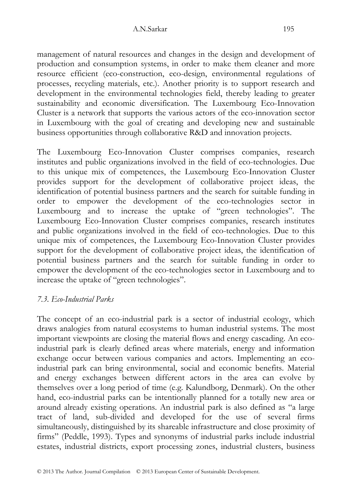management of natural resources and changes in the design and development of production and consumption systems, in order to make them cleaner and more resource efficient (eco-construction, eco-design, environmental regulations of processes, recycling materials, etc.). Another priority is to support research and development in the environmental technologies field, thereby leading to greater sustainability and economic diversification. The Luxembourg Eco-Innovation Cluster is a network that supports the various actors of the eco-innovation sector in Luxembourg with the goal of creating and developing new and sustainable business opportunities through collaborative R&D and innovation projects.

The Luxembourg Eco-Innovation Cluster comprises companies, research institutes and public organizations involved in the field of eco-technologies. Due to this unique mix of competences, the Luxembourg Eco-Innovation Cluster provides support for the development of collaborative project ideas, the identification of potential business partners and the search for suitable funding in order to empower the development of the eco-technologies sector in Luxembourg and to increase the uptake of "green technologies". The Luxembourg Eco-Innovation Cluster comprises companies, research institutes and public organizations involved in the field of eco-technologies. Due to this unique mix of competences, the Luxembourg Eco-Innovation Cluster provides support for the development of collaborative project ideas, the identification of potential business partners and the search for suitable funding in order to empower the development of the eco-technologies sector in Luxembourg and to increase the uptake of "green technologies".

## *7.3. Eco-Industrial Parks*

The concept of an eco-industrial park is a sector of industrial ecology, which draws analogies from natural ecosystems to human industrial systems. The most important viewpoints are closing the material flows and energy cascading. An ecoindustrial park is clearly defined areas where materials, energy and information exchange occur between various companies and actors. Implementing an ecoindustrial park can bring environmental, social and economic benefits. Material and energy exchanges between different actors in the area can evolve by themselves over a long period of time (e.g. Kalundborg, Denmark). On the other hand, eco-industrial parks can be intentionally planned for a totally new area or around already existing operations. An industrial park is also defined as "a large tract of land, sub-divided and developed for the use of several firms simultaneously, distinguished by its shareable infrastructure and close proximity of firms" (Peddle, 1993). Types and synonyms of industrial parks include industrial estates, industrial districts, export processing zones, industrial clusters, business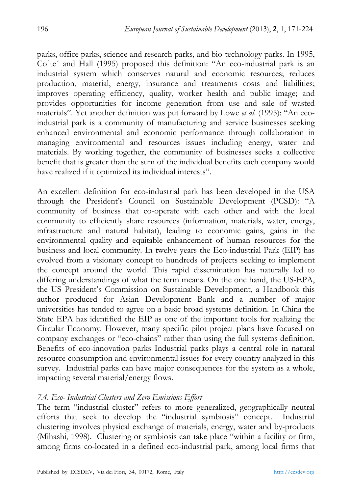parks, office parks, science and research parks, and bio-technology parks. In 1995, Coˆte´ and Hall (1995) proposed this definition: "An eco-industrial park is an industrial system which conserves natural and economic resources; reduces production, material, energy, insurance and treatments costs and liabilities; improves operating efficiency, quality, worker health and public image; and provides opportunities for income generation from use and sale of wasted materials". Yet another definition was put forward by Lowe *et al*. (1995): "An ecoindustrial park is a community of manufacturing and service businesses seeking enhanced environmental and economic performance through collaboration in managing environmental and resources issues including energy, water and materials. By working together, the community of businesses seeks a collective benefit that is greater than the sum of the individual benefits each company would have realized if it optimized its individual interests".

An excellent definition for eco-industrial park has been developed in the USA through the President's Council on Sustainable Development (PCSD): "A community of business that co-operate with each other and with the local community to efficiently share resources (information, materials, water, energy, infrastructure and natural habitat), leading to economic gains, gains in the environmental quality and equitable enhancement of human resources for the business and local community. In twelve years the Eco-industrial Park (EIP) has evolved from a visionary concept to hundreds of projects seeking to implement the concept around the world. This rapid dissemination has naturally led to differing understandings of what the term means. On the one hand, the US-EPA, the US President's Commission on Sustainable Development, a Handbook this author produced for Asian Development Bank and a number of major universities has tended to agree on a basic broad systems definition. In China the State EPA has identified the EIP as one of the important tools for realizing the Circular Economy. However, many specific pilot project plans have focused on company exchanges or "eco-chains" rather than using the full systems definition. Benefits of eco-innovation parks Industrial parks plays a central role in natural resource consumption and environmental issues for every country analyzed in this survey. Industrial parks can have major consequences for the system as a whole, impacting several material/energy flows.

#### *7.4. Eco- Industrial Clusters and Zero Emissions Effort*

The term "industrial cluster" refers to more generalized, geographically neutral efforts that seek to develop the "industrial symbiosis" concept. Industrial clustering involves physical exchange of materials, energy, water and by-products (Mihashi, 1998). Clustering or symbiosis can take place "within a facility or firm, among firms co-located in a defined eco-industrial park, among local firms that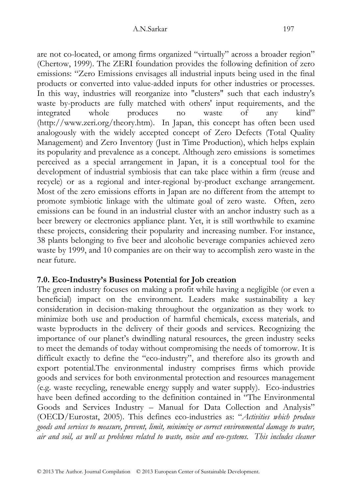are not co-located, or among firms organized "virtually" across a broader region" (Chertow, 1999). The ZERI foundation provides the following definition of zero emissions: "Zero Emissions envisages all industrial inputs being used in the final products or converted into value-added inputs for other industries or processes. In this way, industries will reorganize into "clusters" such that each industry's waste by-products are fully matched with others' input requirements, and the integrated whole produces no waste of any kind" (http://www.zeri.org/theory.htm). In Japan, this concept has often been used analogously with the widely accepted concept of Zero Defects (Total Quality Management) and Zero Inventory (Just in Time Production), which helps explain its popularity and prevalence as a concept. Although zero emissions is sometimes perceived as a special arrangement in Japan, it is a conceptual tool for the development of industrial symbiosis that can take place within a firm (reuse and recycle) or as a regional and inter-regional by-product exchange arrangement. Most of the zero emissions efforts in Japan are no different from the attempt to promote symbiotic linkage with the ultimate goal of zero waste. Often, zero emissions can be found in an industrial cluster with an anchor industry such as a beer brewery or electronics appliance plant. Yet, it is still worthwhile to examine these projects, considering their popularity and increasing number. For instance, 38 plants belonging to five beer and alcoholic beverage companies achieved zero waste by 1999, and 10 companies are on their way to accomplish zero waste in the near future.

## **7.0. Eco-Industry's Business Potential for Job creation**

The green industry focuses on making a profit while having a negligible (or even a beneficial) impact on the environment. Leaders make sustainability a key consideration in decision-making throughout the organization as they work to minimize both use and production of harmful chemicals, excess materials, and waste byproducts in the delivery of their goods and services. Recognizing the importance of our planet's dwindling natural resources, the green industry seeks to meet the demands of today without compromising the needs of tomorrow. It is difficult exactly to define the "eco-industry", and therefore also its growth and export potential.The environmental industry comprises firms which provide goods and services for both environmental protection and resources management (e.g. waste recycling, renewable energy supply and water supply). Eco-industries have been defined according to the definition contained in "The Environmental Goods and Services Industry – Manual for Data Collection and Analysis" (OECD/Eurostat, 2005). This defines eco-industries as: "*Activities which produce goods and services to measure, prevent, limit, minimize or correct environmental damage to water, air and soil, as well as problems related to waste, noise and eco-systems. This includes cleaner*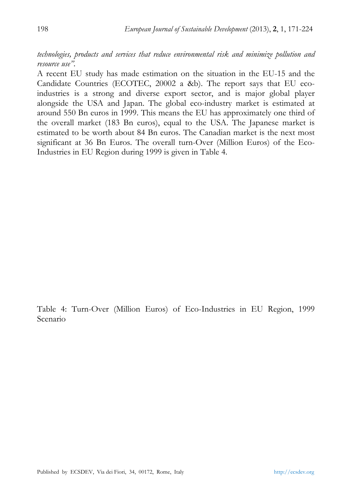*technologies, products and services that reduce environmental risk and minimize pollution and resource use".*

A recent EU study has made estimation on the situation in the EU-15 and the Candidate Countries (ECOTEC, 20002 a &b). The report says that EU ecoindustries is a strong and diverse export sector, and is major global player alongside the USA and Japan. The global eco-industry market is estimated at around 550 Bn euros in 1999. This means the EU has approximately one third of the overall market (183 Bn euros), equal to the USA. The Japanese market is estimated to be worth about 84 Bn euros. The Canadian market is the next most significant at 36 Bn Euros. The overall turn-Over (Million Euros) of the Eco-Industries in EU Region during 1999 is given in Table 4.

Table 4: Turn-Over (Million Euros) of Eco-Industries in EU Region, 1999 Scenario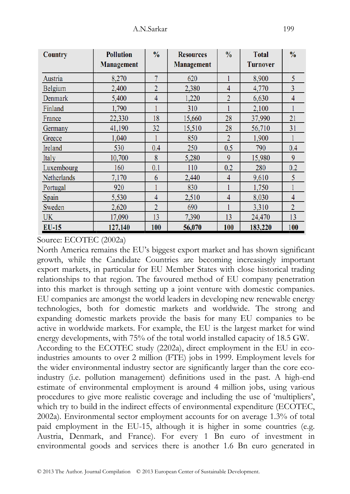| <b>Country</b> | <b>Pollution</b><br>Management | $\frac{0}{0}$  | <b>Resources</b><br><b>Management</b> | $\frac{0}{0}$  | <b>Total</b><br><b>Turnover</b> | $\frac{0}{0}$  |
|----------------|--------------------------------|----------------|---------------------------------------|----------------|---------------------------------|----------------|
| Austria        | 8,270                          | 7              | 620                                   |                | 8,900                           | 5              |
| Belgium        | 2,400                          | $\overline{2}$ | 2,380                                 | $\overline{4}$ | 4,770                           | $\overline{3}$ |
| Denmark        | 5,400                          | $\overline{4}$ | 1,220                                 | $\overline{2}$ | 6,630                           | 4              |
| Finland        | 1,790                          | 1              | 310                                   |                | 2,100                           |                |
| France         | 22,330                         | 18             | 15,660                                | 28             | 37,990                          | 21             |
| Germany        | 41,190                         | 32             | 15,510                                | 28             | 56,710                          | 31             |
| Greece         | 1,040                          |                | 850                                   | $\overline{2}$ | 1,900                           |                |
| Ireland        | 530                            | 0.4            | 250                                   | 0.5            | 790                             | 0.4            |
| Italy          | 10,700                         | 8              | 5,280                                 | 9              | 15,980                          | 9              |
| Luxembourg     | 160                            | 0.1            | 110                                   | 0.2            | 280                             | 0.2            |
| Netherlands    | 7,170                          | 6              | 2,440                                 | 4              | 9,610                           | 5              |
| Portugal       | 920                            |                | 830                                   |                | 1,750                           |                |
| Spain          | 5,530                          | 4              | 2,510                                 | 4              | 8,030                           | $\overline{4}$ |
| Sweden         | 2,620                          | $\overline{2}$ | 690                                   |                | 3,310                           | $\overline{2}$ |
| <b>UK</b>      | 17,090                         | 13             | 7,390                                 | 13             | 24,470                          | 13             |
| $EU-15$        | 127,140                        | 100            | 56,070                                | <b>100</b>     | 183,220                         | 100            |

Source: ECOTEC (2002a)

North America remains the EU's biggest export market and has shown significant growth, while the Candidate Countries are becoming increasingly important export markets, in particular for EU Member States with close historical trading relationships to that region. The favoured method of EU company penetration into this market is through setting up a joint venture with domestic companies. EU companies are amongst the world leaders in developing new renewable energy technologies, both for domestic markets and worldwide. The strong and expanding domestic markets provide the basis for many EU companies to be active in worldwide markets. For example, the EU is the largest market for wind energy developments, with 75% of the total world installed capacity of 18.5 GW.

According to the ECOTEC study (2202a), direct employment in the EU in ecoindustries amounts to over 2 million (FTE) jobs in 1999. Employment levels for the wider environmental industry sector are significantly larger than the core ecoindustry (i.e. pollution management) definitions used in the past. A high-end estimate of environmental employment is around 4 million jobs, using various procedures to give more realistic coverage and including the use of 'multipliers', which try to build in the indirect effects of environmental expenditure (ECOTEC, 2002a). Environmental sector employment accounts for on average 1.3% of total paid employment in the EU-15, although it is higher in some countries (e.g. Austria, Denmark, and France). For every 1 Bn euro of investment in environmental goods and services there is another 1.6 Bn euro generated in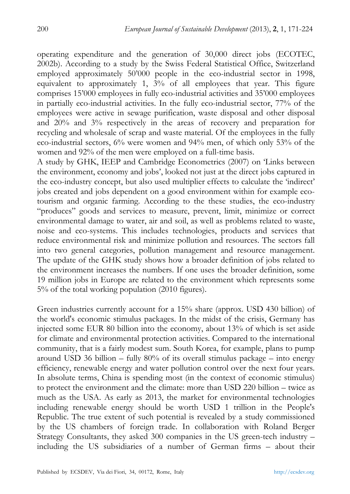operating expenditure and the generation of 30,000 direct jobs (ECOTEC, 2002b). According to a study by the Swiss Federal Statistical Office, Switzerland employed approximately 50'000 people in the eco-industrial sector in 1998, equivalent to approximately 1, 3% of all employees that year. This figure comprises 15'000 employees in fully eco-industrial activities and 35'000 employees in partially eco-industrial activities. In the fully eco-industrial sector, 77% of the employees were active in sewage purification, waste disposal and other disposal and 20% and 3% respectively in the areas of recovery and preparation for recycling and wholesale of scrap and waste material. Of the employees in the fully eco-industrial sectors, 6% were women and 94% men, of which only 53% of the women and 92% of the men were employed on a full-time basis.

A study by GHK, IEEP and Cambridge Econometrics (2007) on 'Links between the environment, economy and jobs', looked not just at the direct jobs captured in the eco-industry concept, but also used multiplier effects to calculate the 'indirect' jobs created and jobs dependent on a good environment within for example ecotourism and organic farming. According to the these studies, the eco-industry "produces" goods and services to measure, prevent, limit, minimize or correct environmental damage to water, air and soil, as well as problems related to waste, noise and eco-systems. This includes technologies, products and services that reduce environmental risk and minimize pollution and resources. The sectors fall into two general categories, pollution management and resource management. The update of the GHK study shows how a broader definition of jobs related to the environment increases the numbers. If one uses the broader definition, some 19 million jobs in Europe are related to the environment which represents some 5% of the total working population (2010 figures).

Green industries currently account for a 15% share (approx. USD 430 billion) of the world's economic stimulus packages. In the midst of the crisis, Germany has injected some EUR 80 billion into the economy, about 13% of which is set aside for climate and environmental protection activities. Compared to the international community, that is a fairly modest sum. South Korea, for example, plans to pump around USD 36 billion – fully  $80\%$  of its overall stimulus package – into energy efficiency, renewable energy and water pollution control over the next four years. In absolute terms, China is spending most (in the context of economic stimulus) to protect the environment and the climate: more than USD 220 billion – twice as much as the USA. As early as 2013, the market for environmental technologies including renewable energy should be worth USD 1 trillion in the People's Republic. The true extent of such potential is revealed by a study commissioned by the US chambers of foreign trade. In collaboration with Roland Berger Strategy Consultants, they asked 300 companies in the US green-tech industry – including the US subsidiaries of a number of German firms – about their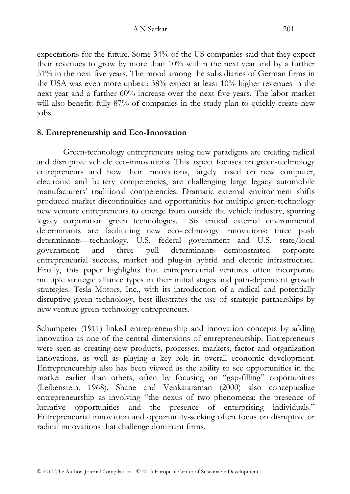expectations for the future. Some 34% of the US companies said that they expect their revenues to grow by more than 10% within the next year and by a further 51% in the next five years. The mood among the subsidiaries of German firms in the USA was even more upbeat: 38% expect at least 10% higher revenues in the next year and a further 60% increase over the next five years. The labor market will also benefit: fully 87% of companies in the study plan to quickly create new jobs.

# **8. Entrepreneurship and Eco-Innovation**

Green-technology entrepreneurs using new paradigms are creating radical and disruptive vehicle eco-innovations. This aspect focuses on green-technology entrepreneurs and how their innovations, largely based on new computer, electronic and battery competencies, are challenging large legacy automobile manufacturers' traditional competencies. Dramatic external environment shifts produced market discontinuities and opportunities for multiple green-technology new venture entrepreneurs to emerge from outside the vehicle industry, spurring legacy corporation green technologies. Six critical external environmental determinants are facilitating new eco-technology innovations: three push determinants—technology, U.S. federal government and U.S. state/local government; and three pull determinants—demonstrated corporate entrepreneurial success, market and plug-in hybrid and electric infrastructure. Finally, this paper highlights that entrepreneurial ventures often incorporate multiple strategic alliance types in their initial stages and path-dependent growth strategies. Tesla Motors, Inc., with its introduction of a radical and potentially disruptive green technology, best illustrates the use of strategic partnerships by new venture green-technology entrepreneurs.

Schumpeter (1911) linked entrepreneurship and innovation concepts by adding innovation as one of the central dimensions of entrepreneurship. Entrepreneurs were seen as creating new products, processes, markets, factor and organization innovations, as well as playing a key role in overall economic development. Entrepreneurship also has been viewed as the ability to see opportunities in the market earlier than others, often by focusing on "gap-filling" opportunities (Leibenstein, 1968). Shane and Venkataraman (2000) also conceptualize entrepreneurship as involving "the nexus of two phenomena: the presence of lucrative opportunities and the presence of enterprising individuals." Entrepreneurial innovation and opportunity-seeking often focus on disruptive or radical innovations that challenge dominant firms.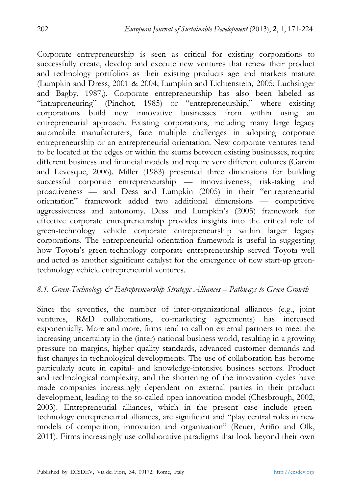Corporate entrepreneurship is seen as critical for existing corporations to successfully create, develop and execute new ventures that renew their product and technology portfolios as their existing products age and markets mature (Lumpkin and Dress, 2001 & 2004; Lumpkin and Lichtenstein**,** 2005; Luchsinger and Bagby, 1987,). Corporate entrepreneurship has also been labeled as "intrapreneuring" (Pinchot, 1985) or "entrepreneurship," where existing corporations build new innovative businesses from within using an entrepreneurial approach. Existing corporations, including many large legacy automobile manufacturers, face multiple challenges in adopting corporate entrepreneurship or an entrepreneurial orientation. New corporate ventures tend to be located at the edges or within the seams between existing businesses, require different business and financial models and require very different cultures (Garvin and Levesque, 2006). Miller (1983) presented three dimensions for building successful corporate entrepreneurship — innovativeness, risk-taking and proactiveness — and Dess and Lumpkin (2005) in their "entrepreneurial orientation" framework added two additional dimensions — competitive aggressiveness and autonomy. Dess and Lumpkin's (2005) framework for effective corporate entrepreneurship provides insights into the critical role of green-technology vehicle corporate entrepreneurship within larger legacy corporations. The entrepreneurial orientation framework is useful in suggesting how Toyota's green-technology corporate entrepreneurship served Toyota well and acted as another significant catalyst for the emergence of new start-up greentechnology vehicle entrepreneurial ventures.

## *8.1. Green-Technology & Entrepreneurship Strategic Alliances – Pathways to Green Growth*

Since the seventies, the number of inter-organizational alliances (e.g., joint ventures, R&D collaborations, co-marketing agreements) has increased exponentially. More and more, firms tend to call on external partners to meet the increasing uncertainty in the (inter) national business world, resulting in a growing pressure on margins, higher quality standards, advanced customer demands and fast changes in technological developments. The use of collaboration has become particularly acute in capital- and knowledge-intensive business sectors. Product and technological complexity, and the shortening of the innovation cycles have made companies increasingly dependent on external parties in their product development, leading to the so-called open innovation model (Chesbrough, 2002, 2003). Entrepreneurial alliances, which in the present case include greentechnology entrepreneurial alliances, are significant and "play central roles in new models of competition, innovation and organization" (Reuer, Ariño and Olk, 2011). Firms increasingly use collaborative paradigms that look beyond their own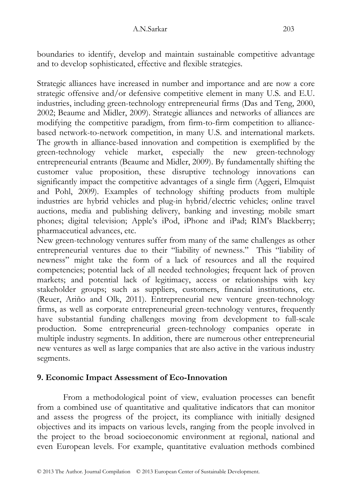boundaries to identify, develop and maintain sustainable competitive advantage and to develop sophisticated, effective and flexible strategies.

Strategic alliances have increased in number and importance and are now a core strategic offensive and/or defensive competitive element in many U.S. and E.U. industries, including green-technology entrepreneurial firms (Das and Teng, 2000, 2002; Beaume and Midler, 2009). Strategic alliances and networks of alliances are modifying the competitive paradigm, from firm-to-firm competition to alliancebased network-to-network competition, in many U.S. and international markets. The growth in alliance-based innovation and competition is exemplified by the green-technology vehicle market, especially the new green-technology entrepreneurial entrants (Beaume and Midler, 2009). By fundamentally shifting the customer value proposition, these disruptive technology innovations can significantly impact the competitive advantages of a single firm (Aggeri, Elmquist and Pohl, 2009). Examples of technology shifting products from multiple industries are hybrid vehicles and plug-in hybrid/electric vehicles; online travel auctions, media and publishing delivery, banking and investing; mobile smart phones; digital television; Apple's iPod, iPhone and iPad; RIM's Blackberry; pharmaceutical advances, etc.

New green-technology ventures suffer from many of the same challenges as other entrepreneurial ventures due to their "liability of newness." This "liability of newness" might take the form of a lack of resources and all the required competencies; potential lack of all needed technologies; frequent lack of proven markets; and potential lack of legitimacy, access or relationships with key stakeholder groups; such as suppliers, customers, financial institutions, etc. (Reuer, Ariño and Olk, 2011). Entrepreneurial new venture green-technology firms, as well as corporate entrepreneurial green-technology ventures, frequently have substantial funding challenges moving from development to full-scale production. Some entrepreneurial green-technology companies operate in multiple industry segments. In addition, there are numerous other entrepreneurial new ventures as well as large companies that are also active in the various industry segments.

## **9. Economic Impact Assessment of Eco-Innovation**

From a methodological point of view, evaluation processes can benefit from a combined use of quantitative and qualitative indicators that can monitor and assess the progress of the project, its compliance with initially designed objectives and its impacts on various levels, ranging from the people involved in the project to the broad socioeconomic environment at regional, national and even European levels. For example, quantitative evaluation methods combined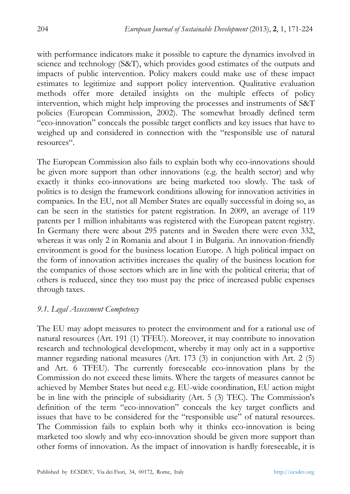with performance indicators make it possible to capture the dynamics involved in science and technology (S&T), which provides good estimates of the outputs and impacts of public intervention. Policy makers could make use of these impact estimates to legitimize and support policy intervention. Qualitative evaluation methods offer more detailed insights on the multiple effects of policy intervention, which might help improving the processes and instruments of S&T policies (European Commission, 2002). The somewhat broadly defined term "eco-innovation" conceals the possible target conflicts and key issues that have to weighed up and considered in connection with the "responsible use of natural resources".

The European Commission also fails to explain both why eco-innovations should be given more support than other innovations (e.g. the health sector) and why exactly it thinks eco-innovations are being marketed too slowly. The task of politics is to design the framework conditions allowing for innovation activities in companies. In the EU, not all Member States are equally successful in doing so, as can be seen in the statistics for patent registration. In 2009, an average of 119 patents per 1 million inhabitants was registered with the European patent registry. In Germany there were about 295 patents and in Sweden there were even 332, whereas it was only 2 in Romania and about 1 in Bulgaria. An innovation-friendly environment is good for the business location Europe. A high political impact on the form of innovation activities increases the quality of the business location for the companies of those sectors which are in line with the political criteria; that of others is reduced, since they too must pay the price of increased public expenses through taxes.

## *9.1. Legal Assessment Competency*

The EU may adopt measures to protect the environment and for a rational use of natural resources (Art. 191 (1) TFEU). Moreover, it may contribute to innovation research and technological development, whereby it may only act in a supportive manner regarding national measures (Art. 173 (3) in conjunction with Art. 2 (5) and Art. 6 TFEU). The currently foreseeable eco-innovation plans by the Commission do not exceed these limits. Where the targets of measures cannot be achieved by Member States but need e.g. EU-wide coordination, EU action might be in line with the principle of subsidiarity (Art. 5 (3) TEC). The Commission's definition of the term "eco-innovation" conceals the key target conflicts and issues that have to be considered for the "responsible use" of natural resources. The Commission fails to explain both why it thinks eco-innovation is being marketed too slowly and why eco-innovation should be given more support than other forms of innovation. As the impact of innovation is hardly foreseeable, it is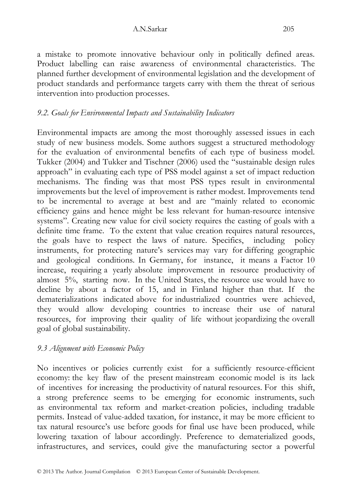a mistake to promote innovative behaviour only in politically defined areas. Product labelling can raise awareness of environmental characteristics. The planned further development of environmental legislation and the development of product standards and performance targets carry with them the threat of serious intervention into production processes.

## *9.2. Goals for Environmental Impacts and Sustainability Indicators*

Environmental impacts are among the most thoroughly assessed issues in each study of new business models. Some authors suggest a structured methodology for the evaluation of environmental benefits of each type of business model. Tukker (2004) and Tukker and Tischner (2006) used the "sustainable design rules approach" in evaluating each type of PSS model against a set of impact reduction mechanisms. The finding was that most PSS types result in environmental improvements but the level of improvement is rather modest. Improvements tend to be incremental to average at best and are "mainly related to economic efficiency gains and hence might be less relevant for human-resource intensive systems". Creating new value for civil society requires the casting of goals with a definite time frame. To the extent that value creation requires natural resources, the goals have to respect the laws of nature. Specifics, including policy instruments, for protecting nature's services may vary for differing geographic and geological conditions. In Germany, for instance, it means a Factor 10 increase, requiring a yearly absolute improvement in resource productivity of almost 5%, starting now. In the United States, the resource use would have to decline by about a factor of 15, and in Finland higher than that. If the dematerializations indicated above for industrialized countries were achieved, they would allow developing countries to increase their use of natural resources, for improving their quality of life without jeopardizing the overall goal of global sustainability.

## *9.3 Alignment with Economic Policy*

No incentives or policies currently exist for a sufficiently resource-efficient economy: the key flaw of the present mainstream economic model is its lack of incentives for increasing the productivity of natural resources. For this shift, a strong preference seems to be emerging for economic instruments, such as environmental tax reform and market-creation policies, including tradable permits. Instead of value-added taxation, for instance, it may be more efficient to tax natural resource's use before goods for final use have been produced, while lowering taxation of labour accordingly. Preference to dematerialized goods, infrastructures, and services, could give the manufacturing sector a powerful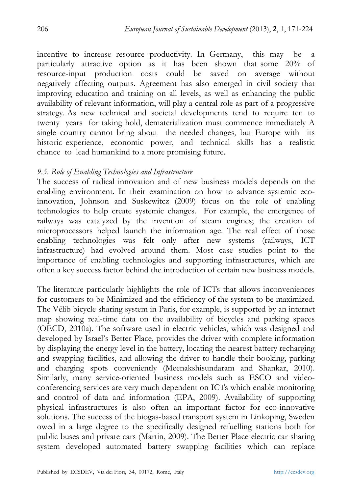incentive to increase resource productivity. In Germany, this may be a particularly attractive option as it has been shown that some 20% of resource-input production costs could be saved on average without negatively affecting outputs. Agreement has also emerged in civil society that improving education and training on all levels, as well as enhancing the public availability of relevant information, will play a central role as part of a progressive strategy. As new technical and societal developments tend to require ten to twenty years for taking hold, dematerialization must commence immediately A single country cannot bring about the needed changes, but Europe with its historic experience, economic power, and technical skills has a realistic chance to lead humankind to a more promising future.

#### *9.5. Role of Enabling Technologies and Infrastructure*

The success of radical innovation and of new business models depends on the enabling environment. In their examination on how to advance systemic ecoinnovation, Johnson and Suskewitcz (2009) focus on the role of enabling technologies to help create systemic changes. For example, the emergence of railways was catalyzed by the invention of steam engines; the creation of microprocessors helped launch the information age. The real effect of those enabling technologies was felt only after new systems (railways, ICT infrastructure) had evolved around them. Most case studies point to the importance of enabling technologies and supporting infrastructures, which are often a key success factor behind the introduction of certain new business models.

The literature particularly highlights the role of ICTs that allows inconveniences for customers to be Minimized and the efficiency of the system to be maximized. The Vélib bicycle sharing system in Paris, for example, is supported by an internet map showing real-time data on the availability of bicycles and parking spaces (OECD, 2010a). The software used in electric vehicles, which was designed and developed by Israel's Better Place, provides the driver with complete information by displaying the energy level in the battery, locating the nearest battery recharging and swapping facilities, and allowing the driver to handle their booking, parking and charging spots conveniently (Meenakshisundaram and Shankar, 2010). Similarly, many service-oriented business models such as ESCO and videoconferencing services are very much dependent on ICTs which enable monitoring and control of data and information (EPA, 2009). Availability of supporting physical infrastructures is also often an important factor for eco-innovative solutions. The success of the biogas-based transport system in Linkoping, Sweden owed in a large degree to the specifically designed refuelling stations both for public buses and private cars (Martin, 2009). The Better Place electric car sharing system developed automated battery swapping facilities which can replace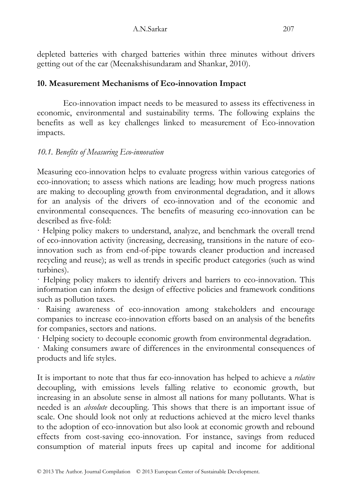depleted batteries with charged batteries within three minutes without drivers getting out of the car (Meenakshisundaram and Shankar, 2010).

# **10. Measurement Mechanisms of Eco-innovation Impact**

Eco-innovation impact needs to be measured to assess its effectiveness in economic, environmental and sustainability terms. The following explains the benefits as well as key challenges linked to measurement of Eco-innovation impacts.

# *10.1. Benefits of Measuring Eco-innovation*

Measuring eco-innovation helps to evaluate progress within various categories of eco-innovation; to assess which nations are leading; how much progress nations are making to decoupling growth from environmental degradation, and it allows for an analysis of the drivers of eco-innovation and of the economic and environmental consequences. The benefits of measuring eco-innovation can be described as five-fold:

· Helping policy makers to understand, analyze, and benchmark the overall trend of eco-innovation activity (increasing, decreasing, transitions in the nature of ecoinnovation such as from end-of-pipe towards cleaner production and increased recycling and reuse); as well as trends in specific product categories (such as wind turbines).

· Helping policy makers to identify drivers and barriers to eco-innovation. This information can inform the design of effective policies and framework conditions such as pollution taxes.

· Raising awareness of eco-innovation among stakeholders and encourage companies to increase eco-innovation efforts based on an analysis of the benefits for companies, sectors and nations.

· Helping society to decouple economic growth from environmental degradation.

· Making consumers aware of differences in the environmental consequences of products and life styles.

It is important to note that thus far eco-innovation has helped to achieve a *relative*  decoupling, with emissions levels falling relative to economic growth, but increasing in an absolute sense in almost all nations for many pollutants. What is needed is an *absolute* decoupling. This shows that there is an important issue of scale. One should look not only at reductions achieved at the micro level thanks to the adoption of eco-innovation but also look at economic growth and rebound effects from cost-saving eco-innovation. For instance, savings from reduced consumption of material inputs frees up capital and income for additional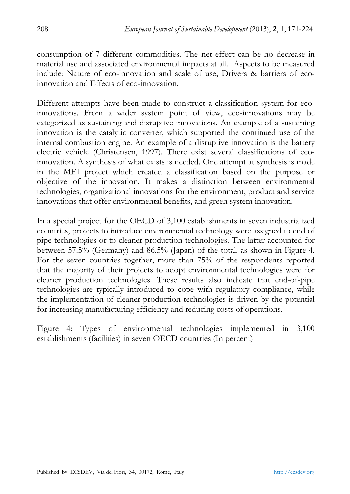consumption of 7 different commodities. The net effect can be no decrease in material use and associated environmental impacts at all. Aspects to be measured include: Nature of eco-innovation and scale of use; Drivers & barriers of ecoinnovation and Effects of eco-innovation.

Different attempts have been made to construct a classification system for ecoinnovations. From a wider system point of view, eco-innovations may be categorized as sustaining and disruptive innovations. An example of a sustaining innovation is the catalytic converter, which supported the continued use of the internal combustion engine. An example of a disruptive innovation is the battery electric vehicle (Christensen, 1997). There exist several classifications of ecoinnovation. A synthesis of what exists is needed. One attempt at synthesis is made in the MEI project which created a classification based on the purpose or objective of the innovation. It makes a distinction between environmental technologies, organizational innovations for the environment, product and service innovations that offer environmental benefits, and green system innovation.

In a special project for the OECD of 3,100 establishments in seven industrialized countries, projects to introduce environmental technology were assigned to end of pipe technologies or to cleaner production technologies. The latter accounted for between 57.5% (Germany) and 86.5% (Japan) of the total, as shown in Figure 4. For the seven countries together, more than 75% of the respondents reported that the majority of their projects to adopt environmental technologies were for cleaner production technologies. These results also indicate that end-of-pipe technologies are typically introduced to cope with regulatory compliance, while the implementation of cleaner production technologies is driven by the potential for increasing manufacturing efficiency and reducing costs of operations.

Figure 4: Types of environmental technologies implemented in 3,100 establishments (facilities) in seven OECD countries (In percent)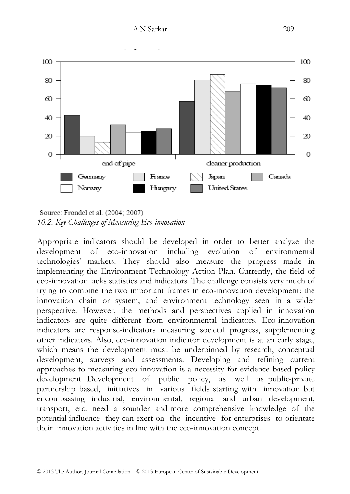

Source: Frondel et al. (2004; 2007) *10.2. Key Challenges of Measuring Eco-innovation* 

Appropriate indicators should be developed in order to better analyze the development of eco-innovation including evolution of environmental technologies' markets. They should also measure the progress made in implementing the Environment Technology Action Plan. Currently, the field of eco-innovation lacks statistics and indicators. The challenge consists very much of trying to combine the two important frames in eco-innovation development: the innovation chain or system; and environment technology seen in a wider perspective. However, the methods and perspectives applied in innovation indicators are quite different from environmental indicators. Eco-innovation indicators are response-indicators measuring societal progress, supplementing other indicators. Also, eco-innovation indicator development is at an early stage, which means the development must be underpinned by research, conceptual development, surveys and assessments. Developing and refining current approaches to measuring eco innovation is a necessity for evidence based policy development. Development of public policy, as well as public-private partnership based, initiatives in various fields starting with innovation but encompassing industrial, environmental, regional and urban development, transport, etc. need a sounder and more comprehensive knowledge of the potential influence they can exert on the incentive for enterprises to orientate their innovation activities in line with the eco-innovation concept.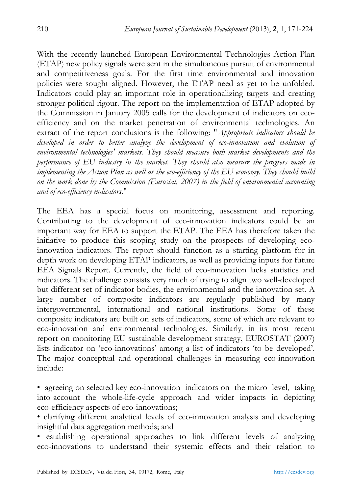With the recently launched European Environmental Technologies Action Plan (ETAP) new policy signals were sent in the simultaneous pursuit of environmental and competitiveness goals. For the first time environmental and innovation policies were sought aligned. However, the ETAP need as yet to be unfolded. Indicators could play an important role in operationalizing targets and creating stronger political rigour. The report on the implementation of ETAP adopted by the Commission in January 2005 calls for the development of indicators on ecoefficiency and on the market penetration of environmental technologies. An extract of the report conclusions is the following: "*Appropriate indicators should be developed in order to better analyze the development of eco-innovation and evolution of environmental technologies' markets. They should measure both market developments and the performance of EU industry in the market. They should also measure the progress made in implementing the Action Plan as well as the eco-efficiency of the EU economy. They should build on the work done by the Commission (Eurostat, 2007) in the field of environmental accounting and of eco-efficiency indicators*."

The EEA has a special focus on monitoring, assessment and reporting. Contributing to the development of eco-innovation indicators could be an important way for EEA to support the ETAP. The EEA has therefore taken the initiative to produce this scoping study on the prospects of developing ecoinnovation indicators. The report should function as a starting platform for in depth work on developing ETAP indicators, as well as providing inputs for future EEA Signals Report. Currently, the field of eco-innovation lacks statistics and indicators. The challenge consists very much of trying to align two well-developed but different set of indicator bodies, the environmental and the innovation set. A large number of composite indicators are regularly published by many intergovernmental, international and national institutions. Some of these composite indicators are built on sets of indicators, some of which are relevant to eco-innovation and environmental technologies. Similarly, in its most recent report on monitoring EU sustainable development strategy, EUROSTAT (2007) lists indicator on 'eco-innovations' among a list of indicators 'to be developed'. The major conceptual and operational challenges in measuring eco-innovation include:

• agreeing on selected key eco-innovation indicators on the micro level, taking into account the whole-life-cycle approach and wider impacts in depicting eco-efficiency aspects of eco-innovations;

• clarifying different analytical levels of eco-innovation analysis and developing insightful data aggregation methods; and

• establishing operational approaches to link different levels of analyzing eco-innovations to understand their systemic effects and their relation to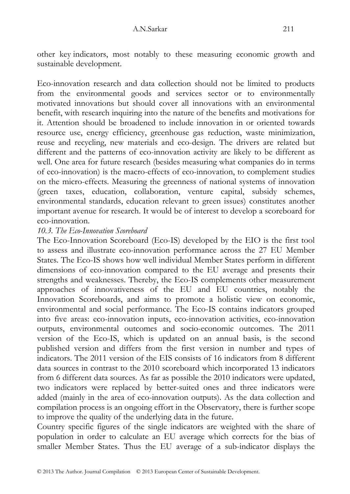other key indicators, most notably to these measuring economic growth and sustainable development.

Eco-innovation research and data collection should not be limited to products from the environmental goods and services sector or to environmentally motivated innovations but should cover all innovations with an environmental benefit, with research inquiring into the nature of the benefits and motivations for it. Attention should be broadened to include innovation in or oriented towards resource use, energy efficiency, greenhouse gas reduction, waste minimization, reuse and recycling, new materials and eco-design. The drivers are related but different and the patterns of eco-innovation activity are likely to be different as well. One area for future research (besides measuring what companies do in terms of eco-innovation) is the macro-effects of eco-innovation, to complement studies on the micro-effects. Measuring the greenness of national systems of innovation (green taxes, education, collaboration, venture capital, subsidy schemes, environmental standards, education relevant to green issues) constitutes another important avenue for research. It would be of interest to develop a scoreboard for eco-innovation.

## *10.3. The Eco-Innovation Scoreboard*

The Eco-Innovation Scoreboard (Eco-IS) developed by the EIO is the first tool to assess and illustrate eco-innovation performance across the 27 EU Member States. The Eco-IS shows how well individual Member States perform in different dimensions of eco-innovation compared to the EU average and presents their strengths and weaknesses. Thereby, the Eco-IS complements other measurement approaches of innovativeness of the EU and EU countries, notably the Innovation Scoreboards, and aims to promote a holistic view on economic, environmental and social performance. The Eco-IS contains indicators grouped into five areas: eco-innovation inputs, eco-innovation activities, eco-innovation outputs, environmental outcomes and socio-economic outcomes. The 2011 version of the Eco-IS, which is updated on an annual basis, is the second published version and differs from the first version in number and types of indicators. The 2011 version of the EIS consists of 16 indicators from 8 different data sources in contrast to the 2010 scoreboard which incorporated 13 indicators from 6 different data sources. As far as possible the 2010 indicators were updated, two indicators were replaced by better-suited ones and three indicators were added (mainly in the area of eco-innovation outputs). As the data collection and compilation process is an ongoing effort in the Observatory, there is further scope to improve the quality of the underlying data in the future.

Country specific figures of the single indicators are weighted with the share of population in order to calculate an EU average which corrects for the bias of smaller Member States. Thus the EU average of a sub-indicator displays the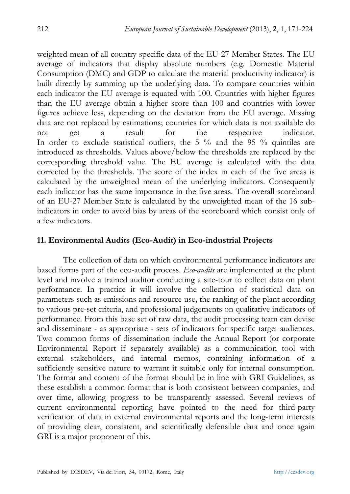weighted mean of all country specific data of the EU-27 Member States. The EU average of indicators that display absolute numbers (e.g. Domestic Material Consumption (DMC) and GDP to calculate the material productivity indicator) is built directly by summing up the underlying data. To compare countries within each indicator the EU average is equated with 100. Countries with higher figures than the EU average obtain a higher score than 100 and countries with lower figures achieve less, depending on the deviation from the EU average. Missing data are not replaced by estimations; countries for which data is not available do not get a result for the respective indicator. In order to exclude statistical outliers, the 5  $\%$  and the 95  $\%$  quintiles are introduced as thresholds. Values above/below the thresholds are replaced by the corresponding threshold value. The EU average is calculated with the data corrected by the thresholds. The score of the index in each of the five areas is calculated by the unweighted mean of the underlying indicators. Consequently each indicator has the same importance in the five areas. The overall scoreboard of an EU-27 Member State is calculated by the unweighted mean of the 16 subindicators in order to avoid bias by areas of the scoreboard which consist only of a few indicators.

#### **11. Environmental Audits (Eco-Audit) in Eco-industrial Projects**

The collection of data on which environmental performance indicators are based forms part of the eco-audit process. *Eco-audits* are implemented at the plant level and involve a trained auditor conducting a site-tour to collect data on plant performance. In practice it will involve the collection of statistical data on parameters such as emissions and resource use, the ranking of the plant according to various pre-set criteria, and professional judgements on qualitative indicators of performance. From this base set of raw data, the audit processing team can devise and disseminate - as appropriate - sets of indicators for specific target audiences. Two common forms of dissemination include the Annual Report (or corporate Environmental Report if separately available) as a communication tool with external stakeholders, and internal memos, containing information of a sufficiently sensitive nature to warrant it suitable only for internal consumption. The format and content of the format should be in line with GRI Guidelines, as these establish a common format that is both consistent between companies, and over time, allowing progress to be transparently assessed. Several reviews of current environmental reporting have pointed to the need for third-party verification of data in external environmental reports and the long-term interests of providing clear, consistent, and scientifically defensible data and once again GRI is a major proponent of this.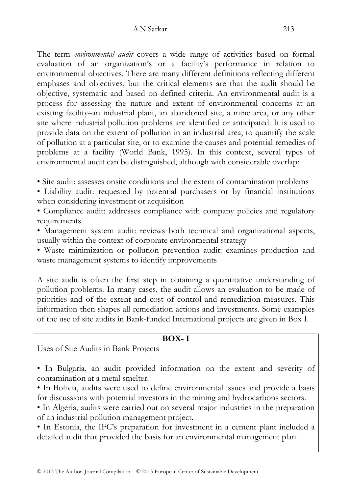The term *environmental audit* covers a wide range of activities based on formal evaluation of an organization's or a facility's performance in relation to environmental objectives. There are many different definitions reflecting different emphases and objectives, but the critical elements are that the audit should be objective, systematic and based on defined criteria. An environmental audit is a process for assessing the nature and extent of environmental concerns at an existing facility–an industrial plant, an abandoned site, a mine area, or any other site where industrial pollution problems are identified or anticipated. It is used to provide data on the extent of pollution in an industrial area, to quantify the scale of pollution at a particular site, or to examine the causes and potential remedies of problems at a facility (World Bank, 1995). In this context, several types of environmental audit can be distinguished, although with considerable overlap:

• Site audit: assesses onsite conditions and the extent of contamination problems

• Liability audit: requested by potential purchasers or by financial institutions when considering investment or acquisition

• Compliance audit: addresses compliance with company policies and regulatory requirements

• Management system audit: reviews both technical and organizational aspects, usually within the context of corporate environmental strategy

• Waste minimization or pollution prevention audit: examines production and waste management systems to identify improvements

A site audit is often the first step in obtaining a quantitative understanding of pollution problems. In many cases, the audit allows an evaluation to be made of priorities and of the extent and cost of control and remediation measures. This information then shapes all remediation actions and investments. Some examples of the use of site audits in Bank-funded International projects are given in Box I.

## **BOX- I**

Uses of Site Audits in Bank Projects

• In Bulgaria, an audit provided information on the extent and severity of contamination at a metal smelter.

• In Bolivia, audits were used to define environmental issues and provide a basis for discussions with potential investors in the mining and hydrocarbons sectors.

• In Algeria, audits were carried out on several major industries in the preparation of an industrial pollution management project.

• In Estonia, the IFC's preparation for investment in a cement plant included a detailed audit that provided the basis for an environmental management plan.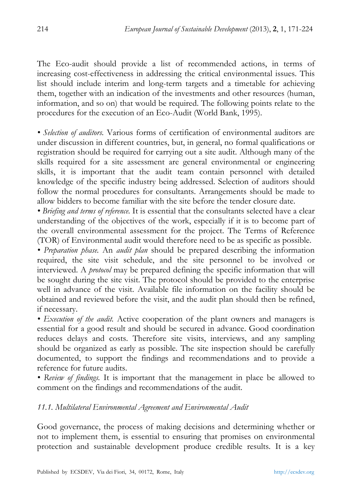The Eco-audit should provide a list of recommended actions, in terms of increasing cost-effectiveness in addressing the critical environmental issues. This list should include interim and long-term targets and a timetable for achieving them, together with an indication of the investments and other resources (human, information, and so on) that would be required. The following points relate to the procedures for the execution of an Eco-Audit (World Bank, 1995).

*• Selection of auditors.* Various forms of certification of environmental auditors are under discussion in different countries, but, in general, no formal qualifications or registration should be required for carrying out a site audit. Although many of the skills required for a site assessment are general environmental or engineering skills, it is important that the audit team contain personnel with detailed knowledge of the specific industry being addressed. Selection of auditors should follow the normal procedures for consultants. Arrangements should be made to allow bidders to become familiar with the site before the tender closure date.

*• Briefing and terms of reference.* It is essential that the consultants selected have a clear understanding of the objectives of the work, especially if it is to become part of the overall environmental assessment for the project. The Terms of Reference (TOR) of Environmental audit would therefore need to be as specific as possible.

*• Preparation phase.* An *audit plan* should be prepared describing the information required, the site visit schedule, and the site personnel to be involved or interviewed. A *protocol* may be prepared defining the specific information that will be sought during the site visit. The protocol should be provided to the enterprise well in advance of the visit. Available file information on the facility should be obtained and reviewed before the visit, and the audit plan should then be refined, if necessary.

*• Execution of the audit.* Active cooperation of the plant owners and managers is essential for a good result and should be secured in advance. Good coordination reduces delays and costs. Therefore site visits, interviews, and any sampling should be organized as early as possible. The site inspection should be carefully documented, to support the findings and recommendations and to provide a reference for future audits.

*• Review of findings.* It is important that the management in place be allowed to comment on the findings and recommendations of the audit.

## *11.1. Multilateral Environmental Agreement and Environmental Audit*

Good governance, the process of making decisions and determining whether or not to implement them, is essential to ensuring that promises on environmental protection and sustainable development produce credible results. It is a key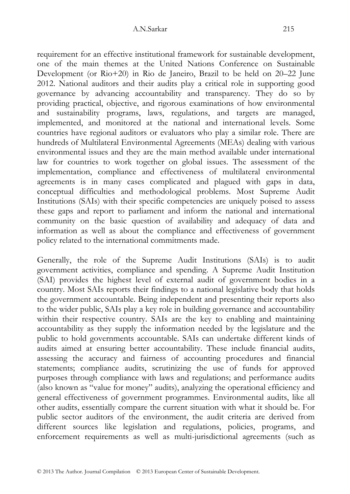requirement for an effective institutional framework for sustainable development, one of the main themes at the United Nations Conference on Sustainable Development (or Rio+20) in Rio de Janeiro, Brazil to be held on 20–22 June 2012. National auditors and their audits play a critical role in supporting good governance by advancing accountability and transparency. They do so by providing practical, objective, and rigorous examinations of how environmental and sustainability programs, laws, regulations, and targets are managed, implemented, and monitored at the national and international levels. Some countries have regional auditors or evaluators who play a similar role. There are hundreds of Multilateral Environmental Agreements (MEAs) dealing with various environmental issues and they are the main method available under international law for countries to work together on global issues. The assessment of the implementation, compliance and effectiveness of multilateral environmental agreements is in many cases complicated and plagued with gaps in data, conceptual difficulties and methodological problems. Most Supreme Audit Institutions (SAIs) with their specific competencies are uniquely poised to assess these gaps and report to parliament and inform the national and international community on the basic question of availability and adequacy of data and information as well as about the compliance and effectiveness of government policy related to the international commitments made.

Generally, the role of the Supreme Audit Institutions (SAIs) is to audit government activities, compliance and spending. A Supreme Audit Institution (SAI) provides the highest level of external audit of government bodies in a country. Most SAIs reports their findings to a national legislative body that holds the government accountable. Being independent and presenting their reports also to the wider public, SAIs play a key role in building governance and accountability within their respective country. SAIs are the key to enabling and maintaining accountability as they supply the information needed by the legislature and the public to hold governments accountable. SAIs can undertake different kinds of audits aimed at ensuring better accountability. These include financial audits, assessing the accuracy and fairness of accounting procedures and financial statements; compliance audits, scrutinizing the use of funds for approved purposes through compliance with laws and regulations; and performance audits (also known as "value for money" audits), analyzing the operational efficiency and general effectiveness of government programmes. Environmental audits, like all other audits, essentially compare the current situation with what it should be. For public sector auditors of the environment, the audit criteria are derived from different sources like legislation and regulations, policies, programs, and enforcement requirements as well as multi-jurisdictional agreements (such as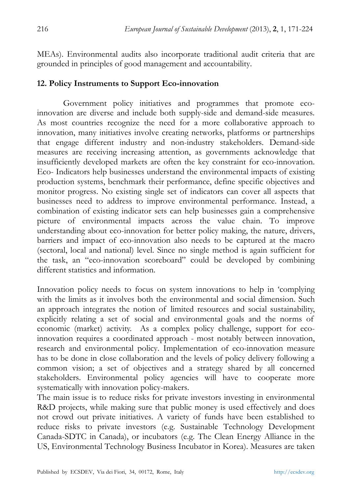MEAs). Environmental audits also incorporate traditional audit criteria that are grounded in principles of good management and accountability.

#### **12. Policy Instruments to Support Eco-innovation**

Government policy initiatives and programmes that promote ecoinnovation are diverse and include both supply-side and demand-side measures. As most countries recognize the need for a more collaborative approach to innovation, many initiatives involve creating networks, platforms or partnerships that engage different industry and non-industry stakeholders. Demand-side measures are receiving increasing attention, as governments acknowledge that insufficiently developed markets are often the key constraint for eco-innovation. Eco- Indicators help businesses understand the environmental impacts of existing production systems, benchmark their performance, define specific objectives and monitor progress. No existing single set of indicators can cover all aspects that businesses need to address to improve environmental performance. Instead, a combination of existing indicator sets can help businesses gain a comprehensive picture of environmental impacts across the value chain. To improve understanding about eco-innovation for better policy making, the nature, drivers, barriers and impact of eco-innovation also needs to be captured at the macro (sectoral, local and national) level. Since no single method is again sufficient for the task, an "eco-innovation scoreboard" could be developed by combining different statistics and information.

Innovation policy needs to focus on system innovations to help in 'complying with the limits as it involves both the environmental and social dimension. Such an approach integrates the notion of limited resources and social sustainability, explicitly relating a set of social and environmental goals and the norms of economic (market) activity. As a complex policy challenge, support for ecoinnovation requires a coordinated approach - most notably between innovation, research and environmental policy. Implementation of eco-innovation measure has to be done in close collaboration and the levels of policy delivery following a common vision; a set of objectives and a strategy shared by all concerned stakeholders. Environmental policy agencies will have to cooperate more systematically with innovation policy-makers.

The main issue is to reduce risks for private investors investing in environmental R&D projects, while making sure that public money is used effectively and does not crowd out private initiatives. A variety of funds have been established to reduce risks to private investors (e.g. Sustainable Technology Development Canada-SDTC in Canada), or incubators (e.g. The Clean Energy Alliance in the US, Environmental Technology Business Incubator in Korea). Measures are taken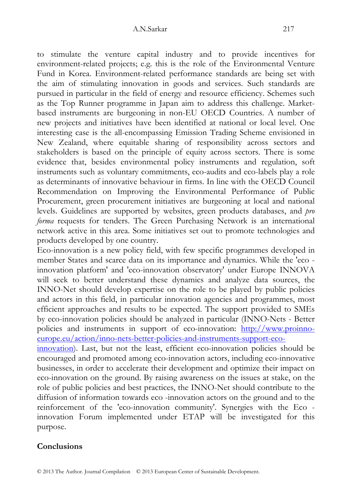to stimulate the venture capital industry and to provide incentives for environment-related projects; e.g. this is the role of the Environmental Venture Fund in Korea. Environment-related performance standards are being set with the aim of stimulating innovation in goods and services. Such standards are pursued in particular in the field of energy and resource efficiency. Schemes such as the Top Runner programme in Japan aim to address this challenge. Marketbased instruments are burgeoning in non-EU OECD Countries. A number of new projects and initiatives have been identified at national or local level. One interesting case is the all-encompassing Emission Trading Scheme envisioned in New Zealand, where equitable sharing of responsibility across sectors and stakeholders is based on the principle of equity across sectors. There is some evidence that, besides environmental policy instruments and regulation, soft instruments such as voluntary commitments, eco-audits and eco-labels play a role as determinants of innovative behaviour in firms. In line with the OECD Council Recommendation on Improving the Environmental Performance of Public Procurement, green procurement initiatives are burgeoning at local and national levels. Guidelines are supported by websites, green products databases, and *pro forma* requests for tenders. The Green Purchasing Network is an international network active in this area. Some initiatives set out to promote technologies and products developed by one country.

Eco-innovation is a new policy field, with few specific programmes developed in member States and scarce data on its importance and dynamics. While the 'eco innovation platform' and 'eco-innovation observatory' under Europe INNOVA will seek to better understand these dynamics and analyze data sources, the INNO-Net should develop expertise on the role to be played by public policies and actors in this field, in particular innovation agencies and programmes, most efficient approaches and results to be expected. The support provided to SMEs by eco-innovation policies should be analyzed in particular (INNO-Nets - Better policies and instruments in support of eco-innovation: http://www.proinnoeurope.eu/action/inno-nets-better-policies-and-instruments-support-eco-

innovation). Last, but not the least, efficient eco-innovation policies should be encouraged and promoted among eco-innovation actors, including eco-innovative businesses, in order to accelerate their development and optimize their impact on eco-innovation on the ground. By raising awareness on the issues at stake, on the role of public policies and best practices, the INNO-Net should contribute to the diffusion of information towards eco -innovation actors on the ground and to the reinforcement of the 'eco-innovation community'. Synergies with the Eco innovation Forum implemented under ETAP will be investigated for this purpose.

## **Conclusions**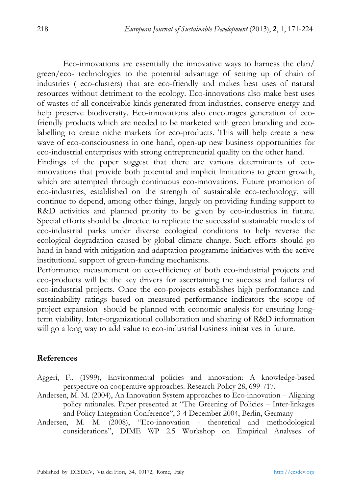Eco-innovations are essentially the innovative ways to harness the clan/ green/eco- technologies to the potential advantage of setting up of chain of industries ( eco-clusters) that are eco-friendly and makes best uses of natural resources without detriment to the ecology. Eco-innovations also make best uses of wastes of all conceivable kinds generated from industries, conserve energy and help preserve biodiversity. Eco-innovations also encourages generation of ecofriendly products which are needed to be marketed with green branding and ecolabelling to create niche markets for eco-products. This will help create a new wave of eco-consciousness in one hand, open-up new business opportunities for eco-industrial enterprises with strong entrepreneurial quality on the other hand.

Findings of the paper suggest that there are various determinants of ecoinnovations that provide both potential and implicit limitations to green growth, which are attempted through continuous eco-innovations. Future promotion of eco-industries, established on the strength of sustainable eco-technology, will continue to depend, among other things, largely on providing funding support to R&D activities and planned priority to be given by eco-industries in future. Special efforts should be directed to replicate the successful sustainable models of eco-industrial parks under diverse ecological conditions to help reverse the ecological degradation caused by global climate change. Such efforts should go hand in hand with mitigation and adaptation programme initiatives with the active institutional support of green-funding mechanisms.

Performance measurement on eco-efficiency of both eco-industrial projects and eco-products will be the key drivers for ascertaining the success and failures of eco-industrial projects. Once the eco-projects establishes high performance and sustainability ratings based on measured performance indicators the scope of project expansion should be planned with economic analysis for ensuring longterm viability. Inter-organizational collaboration and sharing of R&D information will go a long way to add value to eco-industrial business initiatives in future.

#### **References**

- Aggeri, F., (1999), Environmental policies and innovation: A knowledge-based perspective on cooperative approaches. Research Policy 28, 699-717.
- Andersen, M. M. (2004), An Innovation System approaches to Eco-innovation Aligning policy rationales. Paper presented at "The Greening of Policies – Inter-linkages and Policy Integration Conference", 3-4 December 2004, Berlin, Germany
- Andersen, M. M. (2008), "Eco-innovation theoretical and methodological considerations", DIME WP 2.5 Workshop on Empirical Analyses of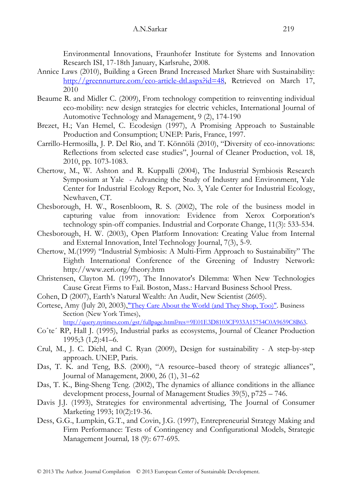Environmental Innovations, Fraunhofer Institute for Systems and Innovation Research ISI, 17-18th January, Karlsruhe, 2008.

- Annice Laws (2010), Building a Green Brand Increased Market Share with Sustainability: http://greennurture.com/eco-article-dtl.aspx?id=48, Retrieved on March 17, 2010
- Beaume R. and Midler C. (2009), From technology competition to reinventing individual eco-mobility: new design strategies for electric vehicles, International Journal of Automotive Technology and Management, 9 (2), 174-190
- Brezet, H.; Van Hemel, C. Ecodesign (1997), A Promising Approach to Sustainable Production and Consumption; UNEP: Paris, France, 1997.
- Carrillo-Hermosilla, J. P. Del Rio, and T. Könnölä (2010), "Diversity of eco-innovations: Reflections from selected case studies", Journal of Cleaner Production, vol. 18, 2010, pp. 1073-1083.
- Chertow, M., W. Ashton and R. Kuppalli (2004), The Industrial Symbiosis Research Symposium at Yale - Advancing the Study of Industry and Environment, Yale Center for Industrial Ecology Report, No. 3, Yale Center for Industrial Ecology, Newhaven, CT.
- Chesborough, H. W., Rosenbloom, R. S. (2002), The role of the business model in capturing value from innovation: Evidence from Xerox Corporation's technology spin-off companies. Industrial and Corporate Change, 11(3): 533-534.
- Chesborough, H. W. (2003), Open Platform Innovation: Creating Value from Internal and External Innovation, Intel Technology Journal, 7(3), 5-9.
- Chertow, M.(1999) "Industrial Symbiosis: A Multi-Firm Approach to Sustainability" The Eighth International Conference of the Greening of Industry Network: http://www.zeri.org/theory.htm
- Christensen, Clayton M. (1997), The Innovator's Dilemma: When New Technologies Cause Great Firms to Fail. Boston, Mass.: Harvard Business School Press.
- Cohen, D (2007), Earth's Natural Wealth: An Audit, New Scientist (2605).
- Cortese, Amy (July 20, 2003),"They Care About the World (and They Shop, Too)". Business Section (New York Times),

http://query.nytimes.com/gst/fullpage.html?res=9E01E3D8103CF933A15754C0A9659C8B63.

- Coˆte´ RP, Hall J. (1995), Industrial parks as ecosystems, Journal of Cleaner Production 1995;3 (1,2):41–6.
- Crul, M., J. C. Diehl, and C. Ryan (2009), Design for sustainability A step-by-step approach. UNEP, Paris.
- Das, T. K. and Teng, B.S. (2000), "A resource–based theory of strategic alliances", Journal of Management, 2000, 26 (1), 31–62
- Das, T. K., Bing-Sheng Teng. (2002), The dynamics of alliance conditions in the alliance development process, Journal of Management Studies 39(5), p725 – 746.
- Davis J.J. (1993), Strategies for environmental advertising, The Journal of Consumer Marketing 1993; 10(2):19-36.
- Dess, G.G., Lumpkin, G.T., and Covin, J.G. (1997), Entrepreneurial Strategy Making and Firm Performance: Tests of Contingency and Configurational Models, Strategic Management Journal*,* 18 (9): 677-695.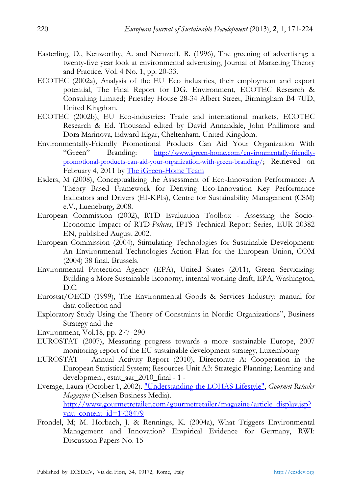- Easterling, D., Kenworthy, A. and Nemzoff, R. (1996), The greening of advertising: a twenty-five year look at environmental advertising, Journal of Marketing Theory and Practice, Vol. 4 No. 1, pp. 20-33.
- ECOTEC (2002a), Analysis of the EU Eco industries, their employment and export potential, The Final Report for DG, Environment, ECOTEC Research & Consulting Limited; Priestley House 28-34 Albert Street, Birmingham B4 7UD, United Kingdom.
- ECOTEC (2002b), EU Eco-industries: Trade and international markets, ECOTEC Research & Ed. Thousand edited by David Annandale, John Phillimore and Dora Marinova, Edward Elgar, Cheltenham, United Kingdom.
- Environmentally-Friendly Promotional Products Can Aid Your Organization With "Green" Branding: http://www.igreen-home.com/environmentally-friendlypromotional-products-can-aid-your-organization-with-green-branding/; Retrieved on February 4, 2011 by The iGreen-Home Team
- Esders, M (2008), Conceptualizing the Assessment of Eco-Innovation Performance: A Theory Based Framework for Deriving Eco-Innovation Key Performance Indicators and Drivers (EI-KPIs), Centre for Sustainability Management (CSM) e.V., Lueneburg, 2008.
- European Commission (2002), RTD Evaluation Toolbox Assessing the Socio-Economic Impact of RTD*-Policies*, IPTS Technical Report Series, EUR 20382 EN, published August 2002.
- European Commission (2004), Stimulating Technologies for Sustainable Development: An Environmental Technologies Action Plan for the European Union, COM (2004) 38 final, Brussels.
- Environmental Protection Agency (EPA), United States (2011), Green Servicizing: Building a More Sustainable Economy, internal working draft, EPA, Washington, D.C.
- Eurostat/OECD (1999), The Environmental Goods & Services Industry: manual for data collection and
- Exploratory Study Using the Theory of Constraints in Nordic Organizations", Business Strategy and the
- Environment, Vol.18, pp. 277–290
- EUROSTAT (2007), Measuring progress towards a more sustainable Europe, 2007 monitoring report of the EU sustainable development strategy, Luxembourg
- EUROSTAT Annual Activity Report (2010), Directorate A: Cooperation in the European Statistical System; Resources Unit A3: Strategic Planning; Learning and development, estat\_aar\_2010\_final - 1 -
- Everage, Laura (October 1, 2002). "Understanding the LOHAS Lifestyle", *Gourmet Retailer Magazine* (Nielsen Business Media). http://www.gourmetretailer.com/gourmetretailer/magazine/article\_display.jsp? vnu\_content\_id=1738479
- Frondel, M; M. Horbach, J. & Rennings, K. (2004a), What Triggers Environmental Management and Innovation? Empirical Evidence for Germany, RWI: Discussion Papers No. 15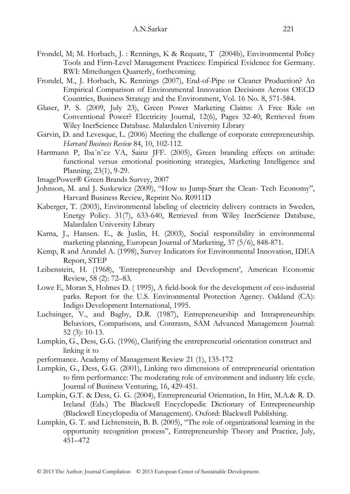- Frondel, M; M. Horbach, J. : Rennings, K & Requate, T (2004b), Environmental Policy Tools and Firm-Level Management Practices: Empirical Evidence for Germany. RWI: Mitteilungen Quarterly, forthcoming.
- Frondel, M., J. Horbach, K. Rennings (2007), End-of-Pipe or Cleaner Production? An Empirical Comparison of Environmental Innovation Decisions Across OECD Countries, Business Strategy and the Environment, Vol. 16 No. 8, 571-584.
- Glaser, P. S. (2009, July 23), Green Power Marketing Claims: A Free Ride on Conventional Power? Electricity Journal, 12(6), Pages 32-40; Retrieved from Wiley InerScience Database. Malardalen University Library
- Garvin, D. and Levesque, L. (2006) Meeting the challenge of corporate entrepreneurship. *Harvard Business Review* 84, 10, 102-112.
- Hartmann P, Iba´n~ez VA, Sainz JFF. (2005), Green branding effects on attitude: functional versus emotional positioning strategies, Marketing Intelligence and Planning, 23(1), 9-29.
- ImagePower® Green Brands Survey, 2007
- Johnson, M. and J. Suskewicz (2009), "How to Jump-Start the Clean- Tech Economy", Harvard Business Review, Reprint No. R0911D
- Kaberger, T. (2003), Environmental labeling of electricity delivery contracts in Sweden, Energy Policy. 31(7), 633-640, Retrieved from Wiley InerScience Database, Malardalen University Library
- Karna, J., Hansen. E., & Juslin, H. (2003), Social responsibility in environmental marketing planning, European Journal of Marketing, 37 (5/6), 848-871.
- Kemp, R and Arundel A. (1998), Survey Indicators for Environmental Innovation, IDEA Report, STEP
- Leibenstein, H. (1968), 'Entrepreneurship and Development', American Economic Review, 58 (2): 72–83.
- Lowe E, Moran S, Holmes D. ( 1995), A field-book for the development of eco-industrial parks. Report for the U.S. Environmental Protection Agency. Oakland (CA): Indigo Development International, 1995.
- Luchsinger, V., and Bagby, D.R. (1987), Entrepreneurship and Intrapreneurship: Behaviors, Comparisons, and Contrasts, SAM Advanced Management Journal: 52 (3): 10-13.
- Lumpkin, G., Dess, G.G. (1996), Clarifying the entrepreneurial orientation construct and linking it to
- performance. Academy of Management Review 21 (1), 135-172
- Lumpkin, G., Dess, G.G. (2001), Linking two dimensions of entrepreneurial orientation to firm performance: The moderating role of environment and industry life cycle. Journal of Business Venturing, 16, 429-451.
- Lumpkin, G.T. & Dess, G. G. (2004), Entrepreneurial Orientation, In Hitt, M.A.& R. D. Ireland (Eds.) The Blackwell Encyclopedic Dictionary of Entrepreneurship (Blackwell Encyclopedia of Management). Oxford: Blackwell Publishing.
- Lumpkin, G. T. and Lichtenstein, B. B. (2005), "The role of organizational learning in the opportunity recognition process", Entrepreneurship Theory and Practice, July, 451–472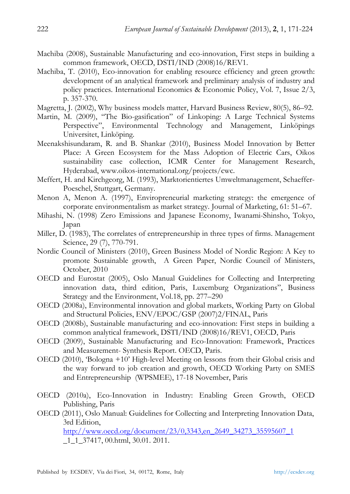- Machiba (2008), Sustainable Manufacturing and eco-innovation, First steps in building a common framework, OECD, DSTI/IND (2008)16/REV1.
- Machiba, T. (2010), Eco-innovation for enabling resource efficiency and green growth: development of an analytical framework and preliminary analysis of industry and policy practices. International Economics & Economic Policy, Vol. 7, Issue 2/3, p. 357-370.
- Magretta, J. (2002), Why business models matter, Harvard Business Review, 80(5), 86–92.
- Martin, M. (2009), "The Bio-gasification" of Linkoping: A Large Technical Systems Perspective", Environmental Technology and Management, Linköpings Universitet, Linköping.
- Meenakshisundaram, R. and B. Shankar (2010), Business Model Innovation by Better Place: A Green Ecosystem for the Mass Adoption of Electric Cars, Oikos sustainability case collection, ICMR Center for Management Research, Hyderabad, www.oikos-international.org/projects/cwc.
- Meffert, H. and Kirchgeorg, M. (1993), Marktorientiertes Umweltmanagement, Schaeffer-Poeschel, Stuttgart, Germany.
- Menon A, Menon A. (1997), Enviropreneurial marketing strategy: the emergence of corporate environmentalism as market strategy. Journal of Marketing, 61: 51–67.
- Mihashi, N. (1998) Zero Emissions and Japanese Economy, Iwanami-Shinsho, Tokyo, Japan
- Miller, D. (1983), The correlates of entrepreneurship in three types of firms. Management Science, 29 (7), 770-791.
- Nordic Council of Ministers (2010), Green Business Model of Nordic Region: A Key to promote Sustainable growth, A Green Paper, Nordic Council of Ministers, October, 2010
- OECD and Eurostat (2005), Oslo Manual Guidelines for Collecting and Interpreting innovation data, third edition, Paris, Luxemburg Organizations", Business Strategy and the Environment, Vol.18, pp. 277–290
- OECD (2008a), Environmental innovation and global markets, Working Party on Global and Structural Policies, ENV/EPOC/GSP (2007)2/FINAL, Paris
- OECD (2008b), Sustainable manufacturing and eco-innovation: First steps in building a common analytical framework, DSTI/IND (2008)16/REV1, OECD, Paris
- OECD (2009), Sustainable Manufacturing and Eco-Innovation: Framework, Practices and Measurement- Synthesis Report. OECD, Paris.
- OECD (2010), 'Bologna +10' High-level Meeting on lessons from their Global crisis and the way forward to job creation and growth, OECD Working Party on SMES and Entrepreneurship (WPSMEE), 17-18 November, Paris
- OECD (2010a), Eco-Innovation in Industry: Enabling Green Growth, OECD Publishing, Paris
- OECD (2011), Oslo Manual: Guidelines for Collecting and Interpreting Innovation Data, 3rd Edition, http://www.oecd.org/document/23/0,3343,en\_2649\_34273\_35595607\_1

\_1\_1\_37417, 00.html, 30.01. 2011.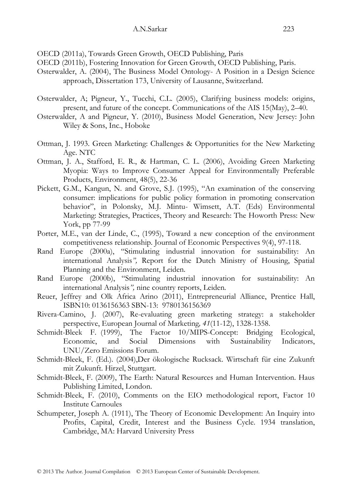OECD (2011a), Towards Green Growth, OECD Publishing, Paris

OECD (2011b), Fostering Innovation for Green Growth, OECD Publishing, Paris.

- Osterwalder, A. (2004), The Business Model Ontology- A Position in a Design Science approach, Dissertation 173, University of Lausanne, Switzerland.
- Osterwalder, A; Pigneur, Y., Tucchi, C.L. (2005), Clarifying business models: origins, present, and future of the concept. Communications of the AIS 15(May), 2–40.
- Osterwalder, A and Pigneur, Y. (2010), Business Model Generation, New Jersey: John Wiley & Sons, Inc., Hoboke
- Ottman, J. 1993. Green Marketing: Challenges & Opportunities for the New Marketing Age. NTC
- Ottman, J. A., Stafford, E. R., & Hartman, C. L. (2006), Avoiding Green Marketing Myopia: Ways to Improve Consumer Appeal for Environmentally Preferable Products, Environment, 48(5), 22-36
- Pickett, G.M., Kangun, N. and Grove, S.J. (1995), "An examination of the conserving consumer: implications for public policy formation in promoting conservation behavior", in Polonsky, M.J. Mintu- Wimsett, A.T. (Eds) Environmental Marketing: Strategies, Practices, Theory and Research: The Howorth Press: New York, pp 77-99
- Porter, M.E., van der Linde, C., (1995), Toward a new conception of the environment competitiveness relationship. Journal of Economic Perspectives 9(4), 97-118.
- Rand Europe (2000a), "Stimulating industrial innovation for sustainability: An international Analysis*",* Report for the Dutch Ministry of Housing, Spatial Planning and the Environment, Leiden.
- Rand Europe (2000b), "Stimulating industrial innovation for sustainability: An international Analysis*",* nine country reports, Leiden*.*
- Reuer, Jeffrey and Olk Africa Arino (2011), Entrepreneurial Alliance, Prentice Hall, ISBN10: 0136156363 SBN-13: 9780136156369
- Rivera-Camino, J. (2007), Re-evaluating green marketing strategy: a stakeholder perspective, European Journal of Marketing*, 41*(11-12), 1328-1358.
- Schmidt-Bleek F. (1999), The Factor 10/MIPS-Concept: Bridging Ecological, Economic, and Social Dimensions with Sustainability Indicators, UNU/Zero Emissions Forum.
- Schmidt-Bleek, F. (Ed.). (2004),Der ökologische Rucksack. Wirtschaft für eine Zukunft mit Zukunft. Hirzel, Stuttgart.
- Schmidt-Bleek, F. (2009), The Earth: Natural Resources and Human Intervention. Haus Publishing Limited, London.
- Schmidt-Bleek, F. (2010), Comments on the EIO methodological report, Factor 10 Institute Carnoules
- Schumpeter, Joseph A. (1911), The Theory of Economic Development: An Inquiry into Profits, Capital, Credit, Interest and the Business Cycle. 1934 translation, Cambridge, MA: Harvard University Press